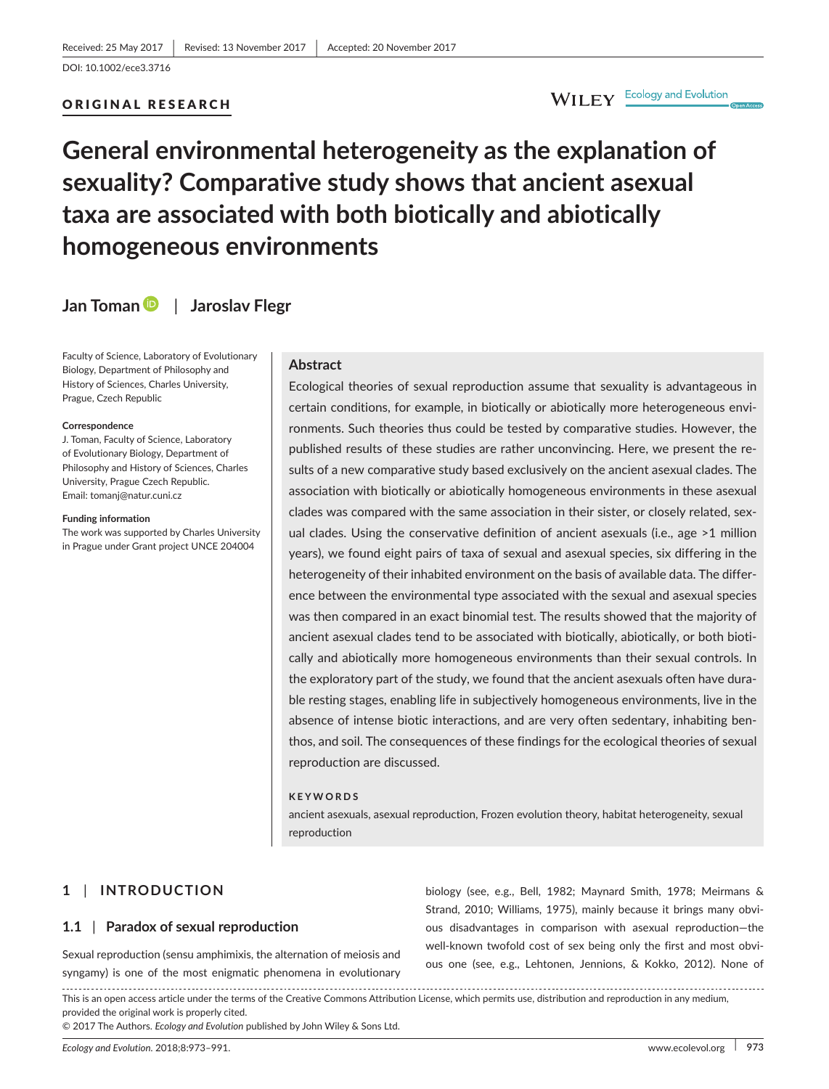DOI: 10.1002/ece3.3716

# ORIGINAL RESEARCH

# WILEY Ecology and Evolution

**General environmental heterogeneity as the explanation of sexuality? Comparative study shows that ancient asexual taxa are associated with both biotically and abiotically homogeneous environments**

**Jan Toman** | **Jaroslav Flegr**

Faculty of Science, Laboratory of Evolutionary Biology, Department of Philosophy and History of Sciences, Charles University, Prague, Czech Republic

#### **Correspondence**

J. Toman, Faculty of Science, Laboratory of Evolutionary Biology, Department of Philosophy and History of Sciences, Charles University, Prague Czech Republic. Email: [tomanj@natur.cuni.cz](mailto:tomanj@natur.cuni.cz)

#### **Funding information**

The work was supported by Charles University in Prague under Grant project UNCE 204004

#### **Abstract**

Ecological theories of sexual reproduction assume that sexuality is advantageous in certain conditions, for example, in biotically or abiotically more heterogeneous environments. Such theories thus could be tested by comparative studies. However, the published results of these studies are rather unconvincing. Here, we present the results of a new comparative study based exclusively on the ancient asexual clades. The association with biotically or abiotically homogeneous environments in these asexual clades was compared with the same association in their sister, or closely related, sexual clades. Using the conservative definition of ancient asexuals (i.e., age >1 million years), we found eight pairs of taxa of sexual and asexual species, six differing in the heterogeneity of their inhabited environment on the basis of available data. The difference between the environmental type associated with the sexual and asexual species was then compared in an exact binomial test. The results showed that the majority of ancient asexual clades tend to be associated with biotically, abiotically, or both biotically and abiotically more homogeneous environments than their sexual controls. In the exploratory part of the study, we found that the ancient asexuals often have durable resting stages, enabling life in subjectively homogeneous environments, live in the absence of intense biotic interactions, and are very often sedentary, inhabiting benthos, and soil. The consequences of these findings for the ecological theories of sexual reproduction are discussed.

### **KEYWORDS**

ancient asexuals, asexual reproduction, Frozen evolution theory, habitat heterogeneity, sexual reproduction

# **1** | **INTRODUCTION**

# **1.1** | **Paradox of sexual reproduction**

Sexual reproduction (sensu amphimixis, the alternation of meiosis and syngamy) is one of the most enigmatic phenomena in evolutionary biology (see, e.g., Bell, 1982; Maynard Smith, 1978; Meirmans & Strand, 2010; Williams, 1975), mainly because it brings many obvious disadvantages in comparison with asexual reproduction—the well-known twofold cost of sex being only the first and most obvious one (see, e.g., Lehtonen, Jennions, & Kokko, 2012). None of

This is an open access article under the terms of the Creative Commons [Attribution](http://creativecommons.org/licenses/by/4.0/) License, which permits use, distribution and reproduction in any medium, provided the original work is properly cited.

© 2017 The Authors. *Ecology and Evolution* published by John Wiley & Sons Ltd.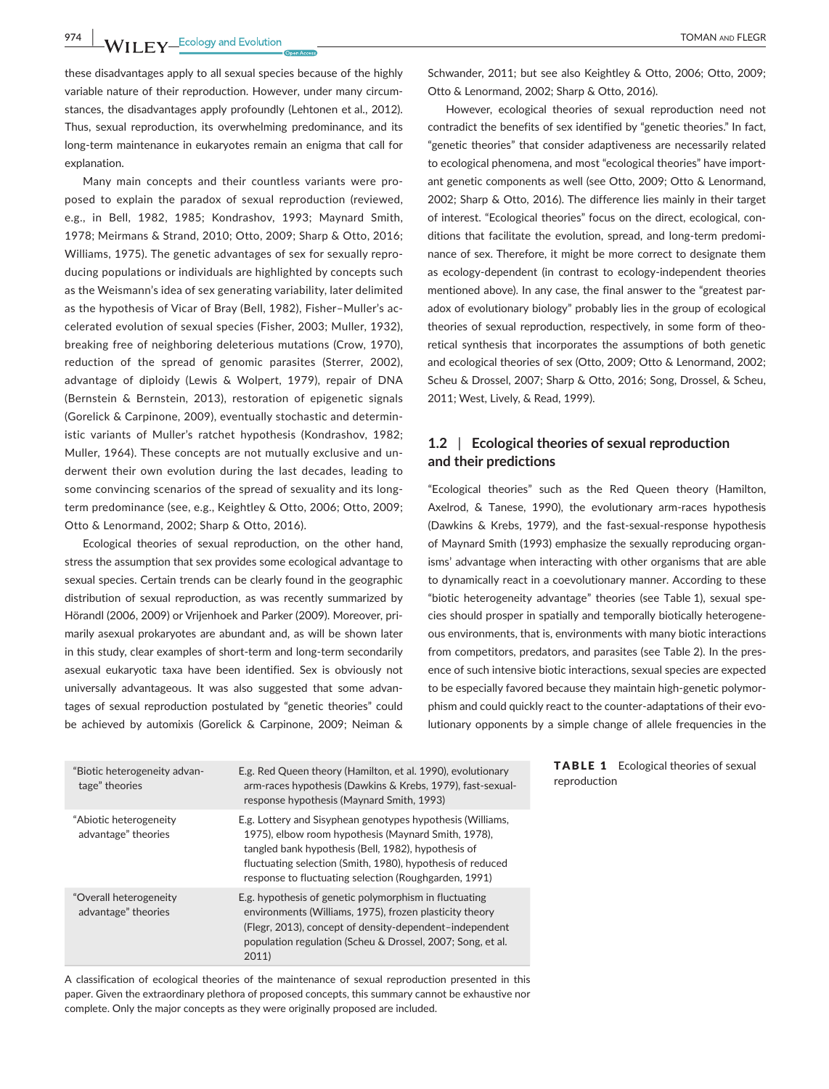**974 WII FY** Ecology and Evolution **and Example 2014 <b>COMAN** AND FLEGR

these disadvantages apply to all sexual species because of the highly variable nature of their reproduction. However, under many circumstances, the disadvantages apply profoundly (Lehtonen et al., 2012). Thus, sexual reproduction, its overwhelming predominance, and its long-term maintenance in eukaryotes remain an enigma that call for explanation.

Many main concepts and their countless variants were proposed to explain the paradox of sexual reproduction (reviewed, e.g., in Bell, 1982, 1985; Kondrashov, 1993; Maynard Smith, 1978; Meirmans & Strand, 2010; Otto, 2009; Sharp & Otto, 2016; Williams, 1975). The genetic advantages of sex for sexually reproducing populations or individuals are highlighted by concepts such as the Weismann's idea of sex generating variability, later delimited as the hypothesis of Vicar of Bray (Bell, 1982), Fisher–Muller's accelerated evolution of sexual species (Fisher, 2003; Muller, 1932), breaking free of neighboring deleterious mutations (Crow, 1970), reduction of the spread of genomic parasites (Sterrer, 2002), advantage of diploidy (Lewis & Wolpert, 1979), repair of DNA (Bernstein & Bernstein, 2013), restoration of epigenetic signals (Gorelick & Carpinone, 2009), eventually stochastic and deterministic variants of Muller's ratchet hypothesis (Kondrashov, 1982; Muller, 1964). These concepts are not mutually exclusive and underwent their own evolution during the last decades, leading to some convincing scenarios of the spread of sexuality and its longterm predominance (see, e.g., Keightley & Otto, 2006; Otto, 2009; Otto & Lenormand, 2002; Sharp & Otto, 2016).

Ecological theories of sexual reproduction, on the other hand, stress the assumption that sex provides some ecological advantage to sexual species. Certain trends can be clearly found in the geographic distribution of sexual reproduction, as was recently summarized by Hörandl (2006, 2009) or Vrijenhoek and Parker (2009). Moreover, primarily asexual prokaryotes are abundant and, as will be shown later in this study, clear examples of short-term and long-term secondarily asexual eukaryotic taxa have been identified. Sex is obviously not universally advantageous. It was also suggested that some advantages of sexual reproduction postulated by "genetic theories" could be achieved by automixis (Gorelick & Carpinone, 2009; Neiman &

Schwander, 2011; but see also Keightley & Otto, 2006; Otto, 2009; Otto & Lenormand, 2002; Sharp & Otto, 2016).

However, ecological theories of sexual reproduction need not contradict the benefits of sex identified by "genetic theories." In fact, "genetic theories" that consider adaptiveness are necessarily related to ecological phenomena, and most "ecological theories" have important genetic components as well (see Otto, 2009; Otto & Lenormand, 2002; Sharp & Otto, 2016). The difference lies mainly in their target of interest. "Ecological theories" focus on the direct, ecological, conditions that facilitate the evolution, spread, and long-term predominance of sex. Therefore, it might be more correct to designate them as ecology-dependent (in contrast to ecology-independent theories mentioned above). In any case, the final answer to the "greatest paradox of evolutionary biology" probably lies in the group of ecological theories of sexual reproduction, respectively, in some form of theoretical synthesis that incorporates the assumptions of both genetic and ecological theories of sex (Otto, 2009; Otto & Lenormand, 2002; Scheu & Drossel, 2007; Sharp & Otto, 2016; Song, Drossel, & Scheu, 2011; West, Lively, & Read, 1999).

# **1.2** | **Ecological theories of sexual reproduction and their predictions**

"Ecological theories" such as the Red Queen theory (Hamilton, Axelrod, & Tanese, 1990), the evolutionary arm-races hypothesis (Dawkins & Krebs, 1979), and the fast-sexual-response hypothesis of Maynard Smith (1993) emphasize the sexually reproducing organisms' advantage when interacting with other organisms that are able to dynamically react in a coevolutionary manner. According to these "biotic heterogeneity advantage" theories (see Table 1), sexual species should prosper in spatially and temporally biotically heterogeneous environments, that is, environments with many biotic interactions from competitors, predators, and parasites (see Table 2). In the presence of such intensive biotic interactions, sexual species are expected to be especially favored because they maintain high-genetic polymorphism and could quickly react to the counter-adaptations of their evolutionary opponents by a simple change of allele frequencies in the

| "Biotic heterogeneity advan-<br>tage" theories | E.g. Red Queen theory (Hamilton, et al. 1990), evolutionary<br>arm-races hypothesis (Dawkins & Krebs, 1979), fast-sexual-<br>response hypothesis (Maynard Smith, 1993)                                                                                                                          |
|------------------------------------------------|-------------------------------------------------------------------------------------------------------------------------------------------------------------------------------------------------------------------------------------------------------------------------------------------------|
| "Abiotic heterogeneity<br>advantage" theories  | E.g. Lottery and Sisyphean genotypes hypothesis (Williams,<br>1975), elbow room hypothesis (Maynard Smith, 1978),<br>tangled bank hypothesis (Bell, 1982), hypothesis of<br>fluctuating selection (Smith, 1980), hypothesis of reduced<br>response to fluctuating selection (Roughgarden, 1991) |
| "Overall heterogeneity"<br>advantage" theories | E.g. hypothesis of genetic polymorphism in fluctuating<br>environments (Williams, 1975), frozen plasticity theory<br>(Flegr, 2013), concept of density-dependent-independent<br>population regulation (Scheu & Drossel, 2007; Song, et al.<br>2011)                                             |

TABLE 1 Ecological theories of sexual reproduction

A classification of ecological theories of the maintenance of sexual reproduction presented in this paper. Given the extraordinary plethora of proposed concepts, this summary cannot be exhaustive nor complete. Only the major concepts as they were originally proposed are included.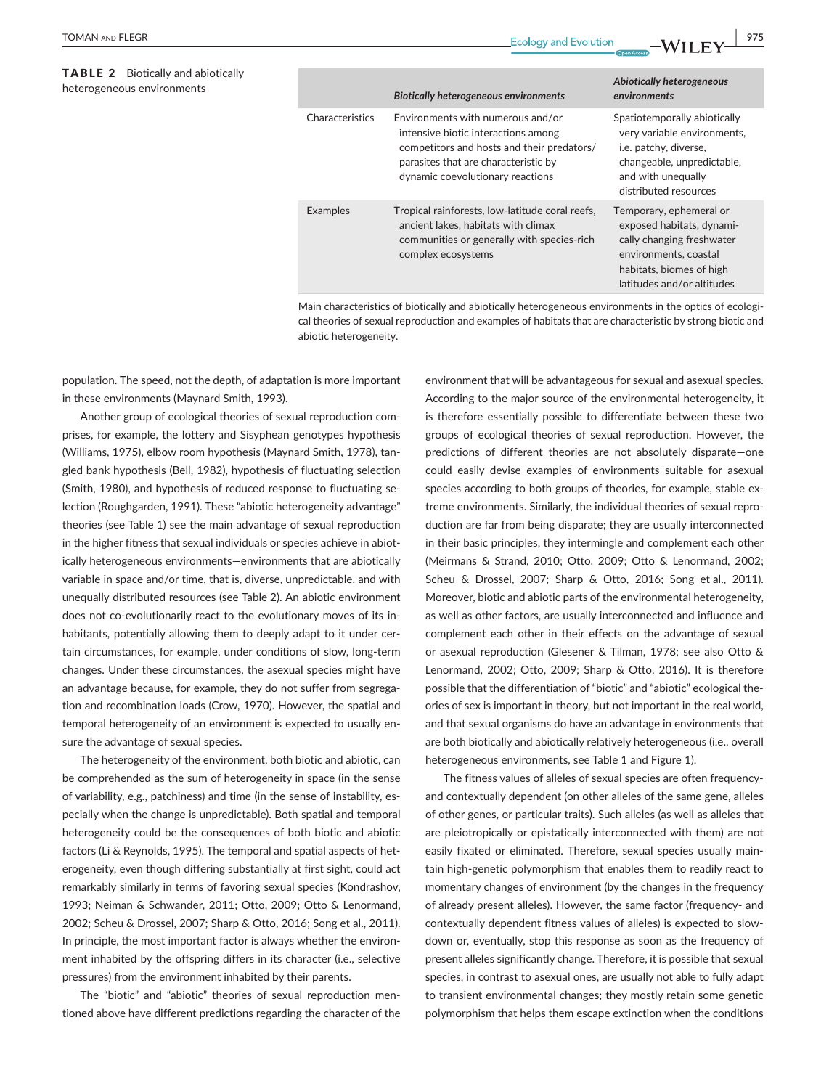TABLE 2 Biotically and abiotically heterogeneous environments

|                 | <b>Biotically heterogeneous environments</b>                                                                                                                                                       | Abiotically heterogeneous<br>environments                                                                                                                            |
|-----------------|----------------------------------------------------------------------------------------------------------------------------------------------------------------------------------------------------|----------------------------------------------------------------------------------------------------------------------------------------------------------------------|
| Characteristics | Environments with numerous and/or<br>intensive biotic interactions among<br>competitors and hosts and their predators/<br>parasites that are characteristic by<br>dynamic coevolutionary reactions | Spatiotemporally abiotically<br>very variable environments,<br>i.e. patchy, diverse,<br>changeable, unpredictable,<br>and with unequally<br>distributed resources    |
| <b>Examples</b> | Tropical rainforests, low-latitude coral reefs,<br>ancient lakes, habitats with climax<br>communities or generally with species-rich<br>complex ecosystems                                         | Temporary, ephemeral or<br>exposed habitats, dynami-<br>cally changing freshwater<br>environments, coastal<br>habitats, biomes of high<br>latitudes and/or altitudes |

Main characteristics of biotically and abiotically heterogeneous environments in the optics of ecological theories of sexual reproduction and examples of habitats that are characteristic by strong biotic and abiotic heterogeneity.

population. The speed, not the depth, of adaptation is more important in these environments (Maynard Smith, 1993).

Another group of ecological theories of sexual reproduction comprises, for example, the lottery and Sisyphean genotypes hypothesis (Williams, 1975), elbow room hypothesis (Maynard Smith, 1978), tangled bank hypothesis (Bell, 1982), hypothesis of fluctuating selection (Smith, 1980), and hypothesis of reduced response to fluctuating selection (Roughgarden, 1991). These "abiotic heterogeneity advantage" theories (see Table 1) see the main advantage of sexual reproduction in the higher fitness that sexual individuals or species achieve in abiotically heterogeneous environments—environments that are abiotically variable in space and/or time, that is, diverse, unpredictable, and with unequally distributed resources (see Table 2). An abiotic environment does not co-evolutionarily react to the evolutionary moves of its inhabitants, potentially allowing them to deeply adapt to it under certain circumstances, for example, under conditions of slow, long-term changes. Under these circumstances, the asexual species might have an advantage because, for example, they do not suffer from segregation and recombination loads (Crow, 1970). However, the spatial and temporal heterogeneity of an environment is expected to usually ensure the advantage of sexual species.

The heterogeneity of the environment, both biotic and abiotic, can be comprehended as the sum of heterogeneity in space (in the sense of variability, e.g., patchiness) and time (in the sense of instability, especially when the change is unpredictable). Both spatial and temporal heterogeneity could be the consequences of both biotic and abiotic factors (Li & Reynolds, 1995). The temporal and spatial aspects of heterogeneity, even though differing substantially at first sight, could act remarkably similarly in terms of favoring sexual species (Kondrashov, 1993; Neiman & Schwander, 2011; Otto, 2009; Otto & Lenormand, 2002; Scheu & Drossel, 2007; Sharp & Otto, 2016; Song et al., 2011). In principle, the most important factor is always whether the environment inhabited by the offspring differs in its character (i.e., selective pressures) from the environment inhabited by their parents.

The "biotic" and "abiotic" theories of sexual reproduction mentioned above have different predictions regarding the character of the environment that will be advantageous for sexual and asexual species. According to the major source of the environmental heterogeneity, it is therefore essentially possible to differentiate between these two groups of ecological theories of sexual reproduction. However, the predictions of different theories are not absolutely disparate—one could easily devise examples of environments suitable for asexual species according to both groups of theories, for example, stable extreme environments. Similarly, the individual theories of sexual reproduction are far from being disparate; they are usually interconnected in their basic principles, they intermingle and complement each other (Meirmans & Strand, 2010; Otto, 2009; Otto & Lenormand, 2002; Scheu & Drossel, 2007; Sharp & Otto, 2016; Song et al., 2011). Moreover, biotic and abiotic parts of the environmental heterogeneity, as well as other factors, are usually interconnected and influence and complement each other in their effects on the advantage of sexual or asexual reproduction (Glesener & Tilman, 1978; see also Otto & Lenormand, 2002; Otto, 2009; Sharp & Otto, 2016). It is therefore possible that the differentiation of "biotic" and "abiotic" ecological theories of sex is important in theory, but not important in the real world, and that sexual organisms do have an advantage in environments that are both biotically and abiotically relatively heterogeneous (i.e., overall heterogeneous environments, see Table 1 and Figure 1).

The fitness values of alleles of sexual species are often frequency and contextually dependent (on other alleles of the same gene, alleles of other genes, or particular traits). Such alleles (as well as alleles that are pleiotropically or epistatically interconnected with them) are not easily fixated or eliminated. Therefore, sexual species usually maintain high-genetic polymorphism that enables them to readily react to momentary changes of environment (by the changes in the frequency of already present alleles). However, the same factor (frequency- and contextually dependent fitness values of alleles) is expected to slowdown or, eventually, stop this response as soon as the frequency of present alleles significantly change. Therefore, it is possible that sexual species, in contrast to asexual ones, are usually not able to fully adapt to transient environmental changes; they mostly retain some genetic polymorphism that helps them escape extinction when the conditions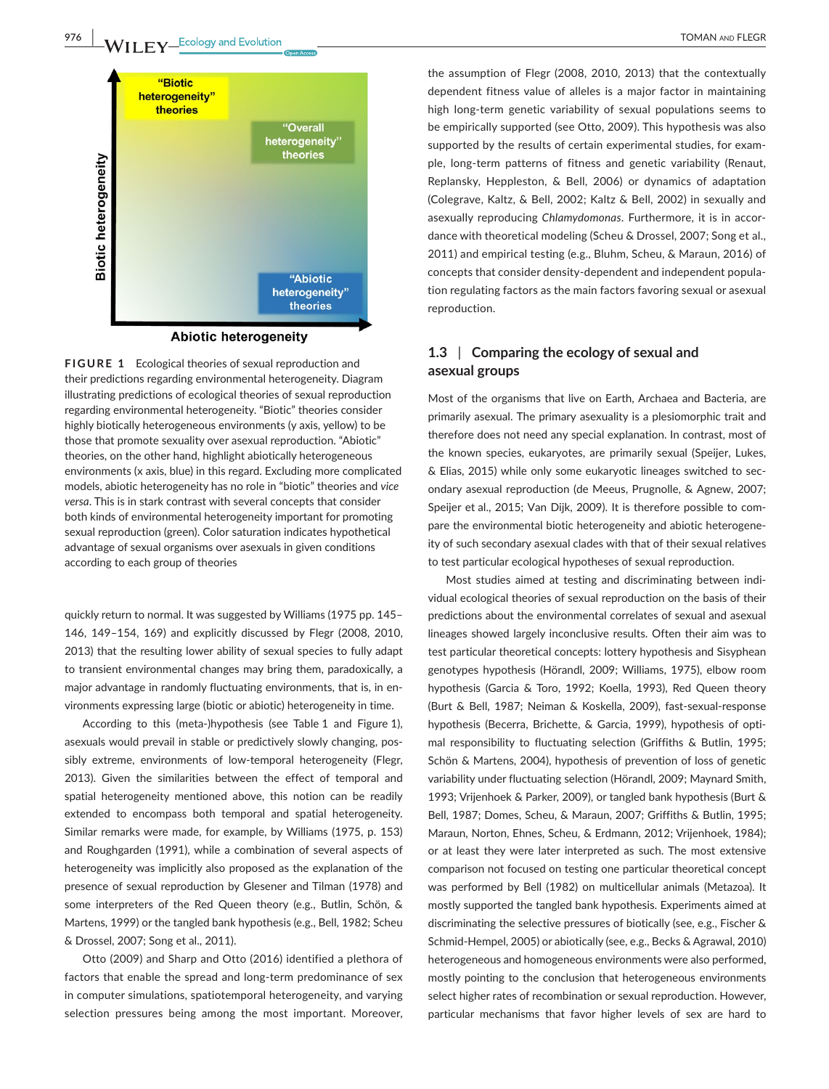

**Abiotic heterogeneity** 

**FIGURE 1** Ecological theories of sexual reproduction and their predictions regarding environmental heterogeneity. Diagram illustrating predictions of ecological theories of sexual reproduction regarding environmental heterogeneity. "Biotic" theories consider highly biotically heterogeneous environments (y axis, yellow) to be those that promote sexuality over asexual reproduction. "Abiotic" theories, on the other hand, highlight abiotically heterogeneous environments (x axis, blue) in this regard. Excluding more complicated models, abiotic heterogeneity has no role in "biotic" theories and *vice versa*. This is in stark contrast with several concepts that consider both kinds of environmental heterogeneity important for promoting sexual reproduction (green). Color saturation indicates hypothetical advantage of sexual organisms over asexuals in given conditions according to each group of theories

quickly return to normal. It was suggested by Williams (1975 pp. 145– 146, 149–154, 169) and explicitly discussed by Flegr (2008, 2010, 2013) that the resulting lower ability of sexual species to fully adapt to transient environmental changes may bring them, paradoxically, a major advantage in randomly fluctuating environments, that is, in environments expressing large (biotic or abiotic) heterogeneity in time.

According to this (meta-)hypothesis (see Table 1 and Figure 1), asexuals would prevail in stable or predictively slowly changing, possibly extreme, environments of low-temporal heterogeneity (Flegr, 2013). Given the similarities between the effect of temporal and spatial heterogeneity mentioned above, this notion can be readily extended to encompass both temporal and spatial heterogeneity. Similar remarks were made, for example, by Williams (1975, p. 153) and Roughgarden (1991), while a combination of several aspects of heterogeneity was implicitly also proposed as the explanation of the presence of sexual reproduction by Glesener and Tilman (1978) and some interpreters of the Red Queen theory (e.g., Butlin, Schön, & Martens, 1999) or the tangled bank hypothesis (e.g., Bell, 1982; Scheu & Drossel, 2007; Song et al., 2011).

Otto (2009) and Sharp and Otto (2016) identified a plethora of factors that enable the spread and long-term predominance of sex in computer simulations, spatiotemporal heterogeneity, and varying selection pressures being among the most important. Moreover,

the assumption of Flegr (2008, 2010, 2013) that the contextually dependent fitness value of alleles is a major factor in maintaining high long-term genetic variability of sexual populations seems to be empirically supported (see Otto, 2009). This hypothesis was also supported by the results of certain experimental studies, for example, long-term patterns of fitness and genetic variability (Renaut, Replansky, Heppleston, & Bell, 2006) or dynamics of adaptation (Colegrave, Kaltz, & Bell, 2002; Kaltz & Bell, 2002) in sexually and asexually reproducing *Chlamydomonas*. Furthermore, it is in accordance with theoretical modeling (Scheu & Drossel, 2007; Song et al., 2011) and empirical testing (e.g., Bluhm, Scheu, & Maraun, 2016) of concepts that consider density-dependent and independent population regulating factors as the main factors favoring sexual or asexual reproduction.

# **1.3** | **Comparing the ecology of sexual and asexual groups**

Most of the organisms that live on Earth, Archaea and Bacteria, are primarily asexual. The primary asexuality is a plesiomorphic trait and therefore does not need any special explanation. In contrast, most of the known species, eukaryotes, are primarily sexual (Speijer, Lukes, & Elias, 2015) while only some eukaryotic lineages switched to secondary asexual reproduction (de Meeus, Prugnolle, & Agnew, 2007; Speijer et al., 2015; Van Dijk, 2009). It is therefore possible to compare the environmental biotic heterogeneity and abiotic heterogeneity of such secondary asexual clades with that of their sexual relatives to test particular ecological hypotheses of sexual reproduction.

Most studies aimed at testing and discriminating between individual ecological theories of sexual reproduction on the basis of their predictions about the environmental correlates of sexual and asexual lineages showed largely inconclusive results. Often their aim was to test particular theoretical concepts: lottery hypothesis and Sisyphean genotypes hypothesis (Hörandl, 2009; Williams, 1975), elbow room hypothesis (Garcia & Toro, 1992; Koella, 1993), Red Queen theory (Burt & Bell, 1987; Neiman & Koskella, 2009), fast-sexual-response hypothesis (Becerra, Brichette, & Garcia, 1999), hypothesis of optimal responsibility to fluctuating selection (Griffiths & Butlin, 1995; Schön & Martens, 2004), hypothesis of prevention of loss of genetic variability under fluctuating selection (Hörandl, 2009; Maynard Smith, 1993; Vrijenhoek & Parker, 2009), or tangled bank hypothesis (Burt & Bell, 1987; Domes, Scheu, & Maraun, 2007; Griffiths & Butlin, 1995; Maraun, Norton, Ehnes, Scheu, & Erdmann, 2012; Vrijenhoek, 1984); or at least they were later interpreted as such. The most extensive comparison not focused on testing one particular theoretical concept was performed by Bell (1982) on multicellular animals (Metazoa). It mostly supported the tangled bank hypothesis. Experiments aimed at discriminating the selective pressures of biotically (see, e.g., Fischer & Schmid-Hempel, 2005) or abiotically (see, e.g., Becks & Agrawal, 2010) heterogeneous and homogeneous environments were also performed, mostly pointing to the conclusion that heterogeneous environments select higher rates of recombination or sexual reproduction. However, particular mechanisms that favor higher levels of sex are hard to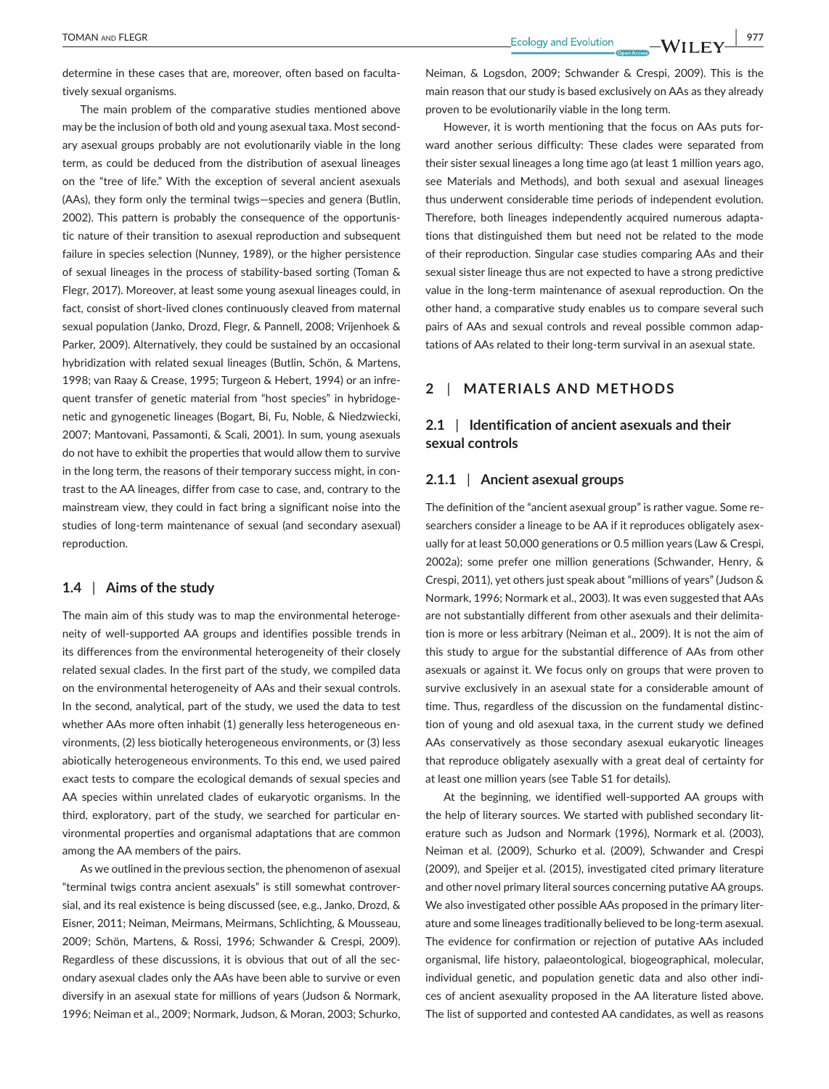**<u>ECOLOGIST COMAN AND FLEGR** 277 COMAN AND FLEGR 377 COMAN AND FLEGR 377 COMAN AND FLEGR 377 COMAN AND FLEGR 377</u>

determine in these cases that are, moreover, often based on facultatively sexual organisms.

The main problem of the comparative studies mentioned above may be the inclusion of both old and young asexual taxa. Most secondary asexual groups probably are not evolutionarily viable in the long term, as could be deduced from the distribution of asexual lineages on the "tree of life." With the exception of several ancient asexuals (AAs), they form only the terminal twigs—species and genera (Butlin, 2002). This pattern is probably the consequence of the opportunistic nature of their transition to asexual reproduction and subsequent failure in species selection (Nunney, 1989), or the higher persistence of sexual lineages in the process of stability-based sorting (Toman & Flegr, 2017). Moreover, at least some young asexual lineages could, in fact, consist of short-lived clones continuously cleaved from maternal sexual population (Janko, Drozd, Flegr, & Pannell, 2008; Vrijenhoek & Parker, 2009). Alternatively, they could be sustained by an occasional hybridization with related sexual lineages (Butlin, Schön, & Martens, 1998; van Raay & Crease, 1995; Turgeon & Hebert, 1994) or an infrequent transfer of genetic material from "host species" in hybridogenetic and gynogenetic lineages (Bogart, Bi, Fu, Noble, & Niedzwiecki, 2007; Mantovani, Passamonti, & Scali, 2001). In sum, young asexuals do not have to exhibit the properties that would allow them to survive in the long term, the reasons of their temporary success might, in contrast to the AA lineages, differ from case to case, and, contrary to the mainstream view, they could in fact bring a significant noise into the studies of long-term maintenance of sexual (and secondary asexual) reproduction.

### **1.4** | **Aims of the study**

The main aim of this study was to map the environmental heterogeneity of well-supported AA groups and identifies possible trends in its differences from the environmental heterogeneity of their closely related sexual clades. In the first part of the study, we compiled data on the environmental heterogeneity of AAs and their sexual controls. In the second, analytical, part of the study, we used the data to test whether AAs more often inhabit (1) generally less heterogeneous environments, (2) less biotically heterogeneous environments, or (3) less abiotically heterogeneous environments. To this end, we used paired exact tests to compare the ecological demands of sexual species and AA species within unrelated clades of eukaryotic organisms. In the third, exploratory, part of the study, we searched for particular environmental properties and organismal adaptations that are common among the AA members of the pairs.

As we outlined in the previous section, the phenomenon of asexual "terminal twigs contra ancient asexuals" is still somewhat controversial, and its real existence is being discussed (see, e.g., Janko, Drozd, & Eisner, 2011; Neiman, Meirmans, Meirmans, Schlichting, & Mousseau, 2009; Schön, Martens, & Rossi, 1996; Schwander & Crespi, 2009). Regardless of these discussions, it is obvious that out of all the secondary asexual clades only the AAs have been able to survive or even diversify in an asexual state for millions of years (Judson & Normark, 1996; Neiman et al., 2009; Normark, Judson, & Moran, 2003; Schurko,

Neiman, & Logsdon, 2009; Schwander & Crespi, 2009). This is the main reason that our study is based exclusively on AAs as they already proven to be evolutionarily viable in the long term.

However, it is worth mentioning that the focus on AAs puts forward another serious difficulty: These clades were separated from their sister sexual lineages a long time ago (at least 1 million years ago, see Materials and Methods), and both sexual and asexual lineages thus underwent considerable time periods of independent evolution. Therefore, both lineages independently acquired numerous adaptations that distinguished them but need not be related to the mode of their reproduction. Singular case studies comparing AAs and their sexual sister lineage thus are not expected to have a strong predictive value in the long-term maintenance of asexual reproduction. On the other hand, a comparative study enables us to compare several such pairs of AAs and sexual controls and reveal possible common adaptations of AAs related to their long-term survival in an asexual state.

# **2** | **MATERIALS AND METHODS**

# **2.1** | **Identification of ancient asexuals and their sexual controls**

### **2.1.1** | **Ancient asexual groups**

The definition of the "ancient asexual group" is rather vague. Some researchers consider a lineage to be AA if it reproduces obligately asexually for at least 50,000 generations or 0.5 million years (Law & Crespi, 2002a); some prefer one million generations (Schwander, Henry, & Crespi, 2011), yet others just speak about "millions of years" (Judson & Normark, 1996; Normark et al., 2003). It was even suggested that AAs are not substantially different from other asexuals and their delimitation is more or less arbitrary (Neiman et al., 2009). It is not the aim of this study to argue for the substantial difference of AAs from other asexuals or against it. We focus only on groups that were proven to survive exclusively in an asexual state for a considerable amount of time. Thus, regardless of the discussion on the fundamental distinction of young and old asexual taxa, in the current study we defined AAs conservatively as those secondary asexual eukaryotic lineages that reproduce obligately asexually with a great deal of certainty for at least one million years (see Table S1 for details).

At the beginning, we identified well-supported AA groups with the help of literary sources. We started with published secondary literature such as Judson and Normark (1996), Normark et al. (2003), Neiman et al. (2009), Schurko et al. (2009), Schwander and Crespi (2009), and Speijer et al. (2015), investigated cited primary literature and other novel primary literal sources concerning putative AA groups. We also investigated other possible AAs proposed in the primary literature and some lineages traditionally believed to be long-term asexual. The evidence for confirmation or rejection of putative AAs included organismal, life history, palaeontological, biogeographical, molecular, individual genetic, and population genetic data and also other indices of ancient asexuality proposed in the AA literature listed above. The list of supported and contested AA candidates, as well as reasons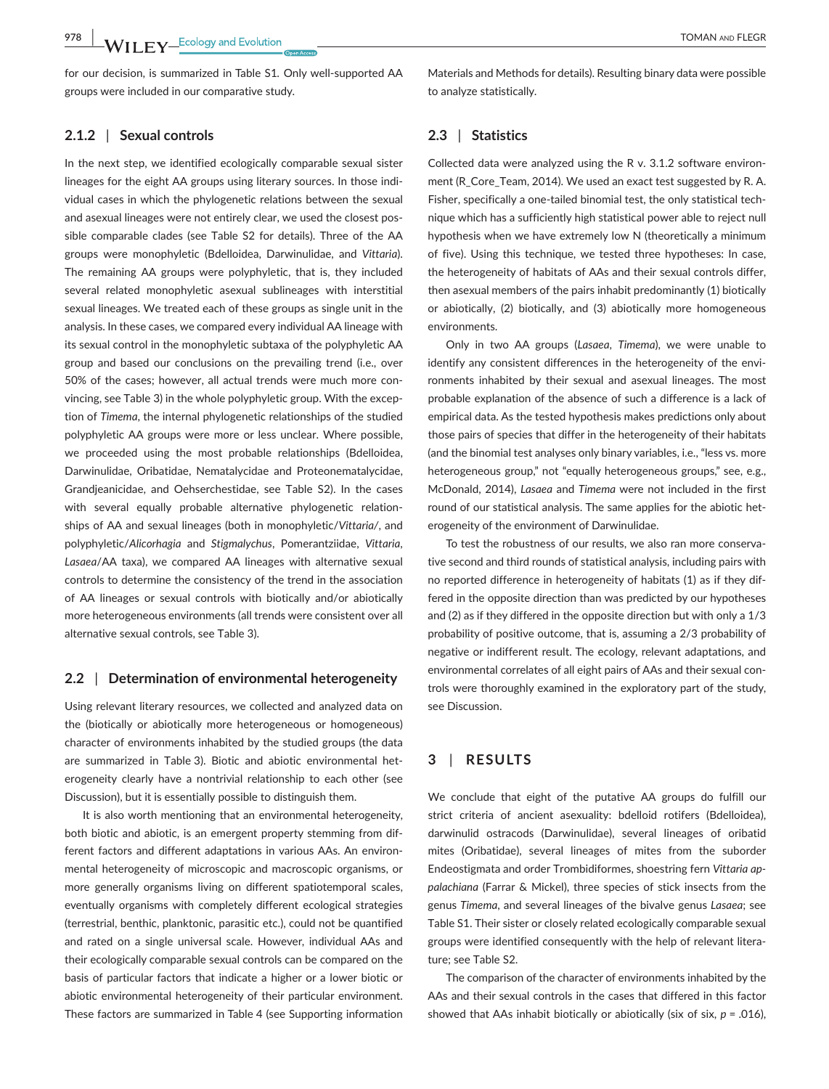**978 WII FY** Ecology and Evolution **and Example 2018 <b>Example 2019 TOMAN** AND FLEGR

for our decision, is summarized in Table S1*.* Only well-supported AA groups were included in our comparative study.

### **2.1.2** | **Sexual controls**

In the next step, we identified ecologically comparable sexual sister lineages for the eight AA groups using literary sources. In those individual cases in which the phylogenetic relations between the sexual and asexual lineages were not entirely clear, we used the closest possible comparable clades (see Table S2 for details). Three of the AA groups were monophyletic (Bdelloidea, Darwinulidae, and *Vittaria*). The remaining AA groups were polyphyletic, that is, they included several related monophyletic asexual sublineages with interstitial sexual lineages. We treated each of these groups as single unit in the analysis. In these cases, we compared every individual AA lineage with its sexual control in the monophyletic subtaxa of the polyphyletic AA group and based our conclusions on the prevailing trend (i.e., over 50% of the cases; however, all actual trends were much more convincing, see Table 3) in the whole polyphyletic group. With the exception of *Timema*, the internal phylogenetic relationships of the studied polyphyletic AA groups were more or less unclear. Where possible, we proceeded using the most probable relationships (Bdelloidea, Darwinulidae, Oribatidae, Nematalycidae and Proteonematalycidae, Grandjeanicidae, and Oehserchestidae, see Table S2). In the cases with several equally probable alternative phylogenetic relationships of AA and sexual lineages (both in monophyletic/*Vittaria/*, and polyphyletic/*Alicorhagia* and *Stigmalychus*, Pomerantziidae, *Vittaria*, *Lasaea*/AA taxa), we compared AA lineages with alternative sexual controls to determine the consistency of the trend in the association of AA lineages or sexual controls with biotically and/or abiotically more heterogeneous environments (all trends were consistent over all alternative sexual controls, see Table 3).

# **2.2** | **Determination of environmental heterogeneity**

Using relevant literary resources, we collected and analyzed data on the (biotically or abiotically more heterogeneous or homogeneous) character of environments inhabited by the studied groups (the data are summarized in Table 3). Biotic and abiotic environmental heterogeneity clearly have a nontrivial relationship to each other (see Discussion), but it is essentially possible to distinguish them.

It is also worth mentioning that an environmental heterogeneity, both biotic and abiotic, is an emergent property stemming from different factors and different adaptations in various AAs. An environmental heterogeneity of microscopic and macroscopic organisms, or more generally organisms living on different spatiotemporal scales, eventually organisms with completely different ecological strategies (terrestrial, benthic, planktonic, parasitic etc.), could not be quantified and rated on a single universal scale. However, individual AAs and their ecologically comparable sexual controls can be compared on the basis of particular factors that indicate a higher or a lower biotic or abiotic environmental heterogeneity of their particular environment. These factors are summarized in Table 4 (see Supporting information

Materials and Methods for details). Resulting binary data were possible to analyze statistically.

# **2.3** | **Statistics**

Collected data were analyzed using the R v. 3.1.2 software environment (R Core Team, 2014). We used an exact test suggested by R. A. Fisher, specifically a one-tailed binomial test, the only statistical technique which has a sufficiently high statistical power able to reject null hypothesis when we have extremely low N (theoretically a minimum of five). Using this technique, we tested three hypotheses: In case, the heterogeneity of habitats of AAs and their sexual controls differ, then asexual members of the pairs inhabit predominantly (1) biotically or abiotically, (2) biotically, and (3) abiotically more homogeneous environments.

Only in two AA groups (*Lasaea*, *Timema*), we were unable to identify any consistent differences in the heterogeneity of the environments inhabited by their sexual and asexual lineages. The most probable explanation of the absence of such a difference is a lack of empirical data. As the tested hypothesis makes predictions only about those pairs of species that differ in the heterogeneity of their habitats (and the binomial test analyses only binary variables, i.e., "less vs. more heterogeneous group," not "equally heterogeneous groups," see, e.g., McDonald, 2014), *Lasaea* and *Timema* were not included in the first round of our statistical analysis. The same applies for the abiotic heterogeneity of the environment of Darwinulidae.

To test the robustness of our results, we also ran more conservative second and third rounds of statistical analysis, including pairs with no reported difference in heterogeneity of habitats (1) as if they differed in the opposite direction than was predicted by our hypotheses and (2) as if they differed in the opposite direction but with only a 1/3 probability of positive outcome, that is, assuming a 2/3 probability of negative or indifferent result. The ecology, relevant adaptations, and environmental correlates of all eight pairs of AAs and their sexual controls were thoroughly examined in the exploratory part of the study, see Discussion.

# **3** | **RESULTS**

We conclude that eight of the putative AA groups do fulfill our strict criteria of ancient asexuality: bdelloid rotifers (Bdelloidea), darwinulid ostracods (Darwinulidae), several lineages of oribatid mites (Oribatidae), several lineages of mites from the suborder Endeostigmata and order Trombidiformes, shoestring fern *Vittaria appalachiana* (Farrar & Mickel), three species of stick insects from the genus *Timema*, and several lineages of the bivalve genus *Lasaea*; see Table S1. Their sister or closely related ecologically comparable sexual groups were identified consequently with the help of relevant literature; see Table S2.

The comparison of the character of environments inhabited by the AAs and their sexual controls in the cases that differed in this factor showed that AAs inhabit biotically or abiotically (six of six, *p* = .016),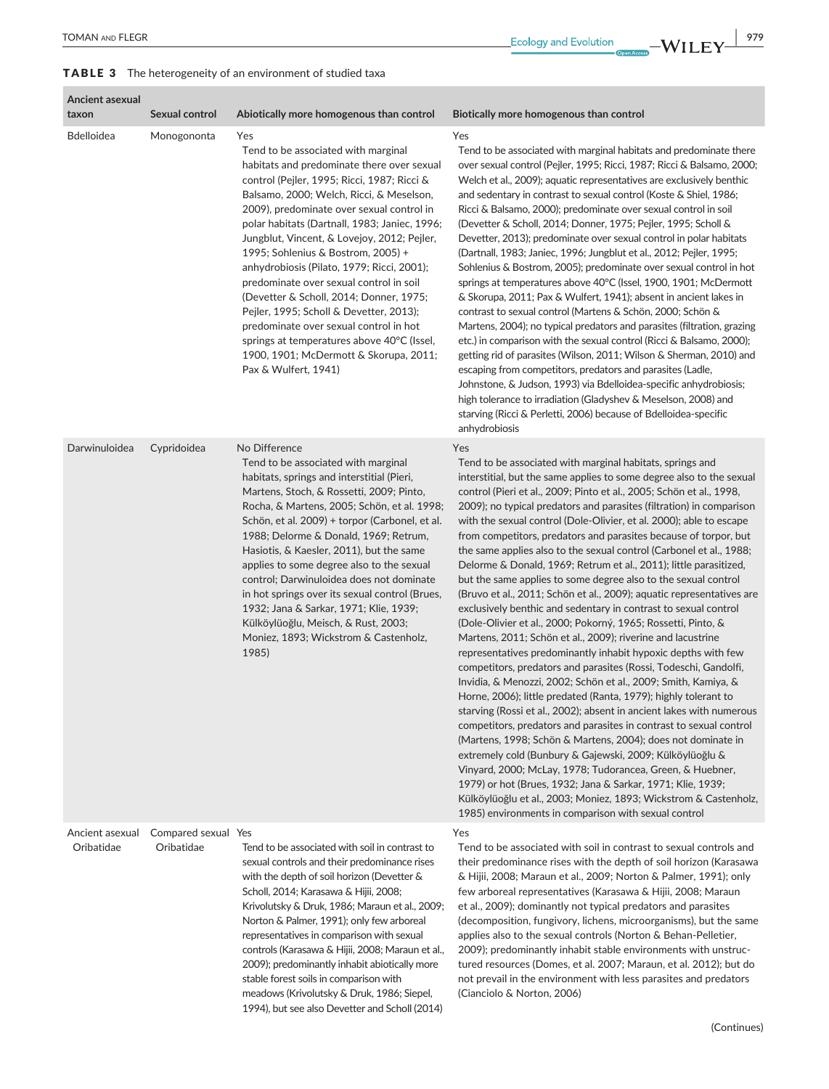**<u>Ecology and Evolution</u> WILEY** 979

# TABLE 3 The heterogeneity of an environment of studied taxa

| Ancient asexual<br>taxon      | Sexual control                    | Abiotically more homogenous than control                                                                                                                                                                                                                                                                                                                                                                                                                                                                                                                                                                                                                                                                        | Biotically more homogenous than control                                                                                                                                                                                                                                                                                                                                                                                                                                                                                                                                                                                                                                                                                                                                                                                                                                                                                                                                                                                                                                                                                                                                                                                                                                                                                                                                                                                                                                                                                                                                                                                                                                                                                                   |
|-------------------------------|-----------------------------------|-----------------------------------------------------------------------------------------------------------------------------------------------------------------------------------------------------------------------------------------------------------------------------------------------------------------------------------------------------------------------------------------------------------------------------------------------------------------------------------------------------------------------------------------------------------------------------------------------------------------------------------------------------------------------------------------------------------------|-------------------------------------------------------------------------------------------------------------------------------------------------------------------------------------------------------------------------------------------------------------------------------------------------------------------------------------------------------------------------------------------------------------------------------------------------------------------------------------------------------------------------------------------------------------------------------------------------------------------------------------------------------------------------------------------------------------------------------------------------------------------------------------------------------------------------------------------------------------------------------------------------------------------------------------------------------------------------------------------------------------------------------------------------------------------------------------------------------------------------------------------------------------------------------------------------------------------------------------------------------------------------------------------------------------------------------------------------------------------------------------------------------------------------------------------------------------------------------------------------------------------------------------------------------------------------------------------------------------------------------------------------------------------------------------------------------------------------------------------|
| <b>Bdelloidea</b>             | Monogononta                       | Yes<br>Tend to be associated with marginal<br>habitats and predominate there over sexual<br>control (Pejler, 1995; Ricci, 1987; Ricci &<br>Balsamo, 2000; Welch, Ricci, & Meselson,<br>2009), predominate over sexual control in<br>polar habitats (Dartnall, 1983; Janiec, 1996;<br>Jungblut, Vincent, & Lovejoy, 2012; Pejler,<br>1995; Sohlenius & Bostrom, 2005) +<br>anhydrobiosis (Pilato, 1979; Ricci, 2001);<br>predominate over sexual control in soil<br>(Devetter & Scholl, 2014; Donner, 1975;<br>Pejler, 1995; Scholl & Devetter, 2013);<br>predominate over sexual control in hot<br>springs at temperatures above 40°C (Issel,<br>1900, 1901; McDermott & Skorupa, 2011;<br>Pax & Wulfert, 1941) | Yes<br>Tend to be associated with marginal habitats and predominate there<br>over sexual control (Pejler, 1995; Ricci, 1987; Ricci & Balsamo, 2000;<br>Welch et al., 2009); aquatic representatives are exclusively benthic<br>and sedentary in contrast to sexual control (Koste & Shiel, 1986;<br>Ricci & Balsamo, 2000); predominate over sexual control in soil<br>(Devetter & Scholl, 2014; Donner, 1975; Pejler, 1995; Scholl &<br>Devetter, 2013); predominate over sexual control in polar habitats<br>(Dartnall, 1983; Janiec, 1996; Jungblut et al., 2012; Pejler, 1995;<br>Sohlenius & Bostrom, 2005); predominate over sexual control in hot<br>springs at temperatures above 40°C (Issel, 1900, 1901; McDermott<br>& Skorupa, 2011; Pax & Wulfert, 1941); absent in ancient lakes in<br>contrast to sexual control (Martens & Schön, 2000; Schön &<br>Martens, 2004); no typical predators and parasites (filtration, grazing<br>etc.) in comparison with the sexual control (Ricci & Balsamo, 2000);<br>getting rid of parasites (Wilson, 2011; Wilson & Sherman, 2010) and<br>escaping from competitors, predators and parasites (Ladle,<br>Johnstone, & Judson, 1993) via Bdelloidea-specific anhydrobiosis;<br>high tolerance to irradiation (Gladyshev & Meselson, 2008) and<br>starving (Ricci & Perletti, 2006) because of Bdelloidea-specific<br>anhydrobiosis                                                                                                                                                                                                                                                                                                                                                       |
| Darwinuloidea                 | Cypridoidea                       | No Difference<br>Tend to be associated with marginal<br>habitats, springs and interstitial (Pieri,<br>Martens, Stoch, & Rossetti, 2009; Pinto,<br>Rocha, & Martens, 2005; Schön, et al. 1998;<br>Schön, et al. 2009) + torpor (Carbonel, et al.<br>1988; Delorme & Donald, 1969; Retrum,<br>Hasiotis, & Kaesler, 2011), but the same<br>applies to some degree also to the sexual<br>control; Darwinuloidea does not dominate<br>in hot springs over its sexual control (Brues,<br>1932; Jana & Sarkar, 1971; Klie, 1939;<br>Külköylüoğlu, Meisch, & Rust, 2003;<br>Moniez, 1893; Wickstrom & Castenholz,<br>1985)                                                                                              | Yes<br>Tend to be associated with marginal habitats, springs and<br>interstitial, but the same applies to some degree also to the sexual<br>control (Pieri et al., 2009; Pinto et al., 2005; Schön et al., 1998,<br>2009); no typical predators and parasites (filtration) in comparison<br>with the sexual control (Dole-Olivier, et al. 2000); able to escape<br>from competitors, predators and parasites because of torpor, but<br>the same applies also to the sexual control (Carbonel et al., 1988;<br>Delorme & Donald, 1969; Retrum et al., 2011); little parasitized,<br>but the same applies to some degree also to the sexual control<br>(Bruvo et al., 2011; Schön et al., 2009); aquatic representatives are<br>exclusively benthic and sedentary in contrast to sexual control<br>(Dole-Olivier et al., 2000; Pokorný, 1965; Rossetti, Pinto, &<br>Martens, 2011; Schön et al., 2009); riverine and lacustrine<br>representatives predominantly inhabit hypoxic depths with few<br>competitors, predators and parasites (Rossi, Todeschi, Gandolfi,<br>Invidia, & Menozzi, 2002; Schön et al., 2009; Smith, Kamiya, &<br>Horne, 2006); little predated (Ranta, 1979); highly tolerant to<br>starving (Rossi et al., 2002); absent in ancient lakes with numerous<br>competitors, predators and parasites in contrast to sexual control<br>(Martens, 1998; Schön & Martens, 2004); does not dominate in<br>extremely cold (Bunbury & Gajewski, 2009; Külköylüoğlu &<br>Vinyard, 2000; McLay, 1978; Tudorancea, Green, & Huebner,<br>1979) or hot (Brues, 1932; Jana & Sarkar, 1971; Klie, 1939;<br>Külköylüoğlu et al., 2003; Moniez, 1893; Wickstrom & Castenholz,<br>1985) environments in comparison with sexual control |
| Ancient asexual<br>Oribatidae | Compared sexual Yes<br>Oribatidae | Tend to be associated with soil in contrast to<br>sexual controls and their predominance rises<br>with the depth of soil horizon (Devetter &<br>Scholl, 2014; Karasawa & Hijii, 2008;<br>Krivolutsky & Druk, 1986; Maraun et al., 2009;<br>Norton & Palmer, 1991); only few arboreal<br>representatives in comparison with sexual<br>controls (Karasawa & Hijii, 2008; Maraun et al.,<br>2009); predominantly inhabit abiotically more<br>stable forest soils in comparison with<br>meadows (Krivolutsky & Druk, 1986; Siepel,<br>1994), but see also Devetter and Scholl (2014)                                                                                                                                | Yes<br>Tend to be associated with soil in contrast to sexual controls and<br>their predominance rises with the depth of soil horizon (Karasawa<br>& Hijii, 2008; Maraun et al., 2009; Norton & Palmer, 1991); only<br>few arboreal representatives (Karasawa & Hijii, 2008; Maraun<br>et al., 2009); dominantly not typical predators and parasites<br>(decomposition, fungivory, lichens, microorganisms), but the same<br>applies also to the sexual controls (Norton & Behan-Pelletier,<br>2009); predominantly inhabit stable environments with unstruc-<br>tured resources (Domes, et al. 2007; Maraun, et al. 2012); but do<br>not prevail in the environment with less parasites and predators<br>(Cianciolo & Norton, 2006)                                                                                                                                                                                                                                                                                                                                                                                                                                                                                                                                                                                                                                                                                                                                                                                                                                                                                                                                                                                                       |

(Continues)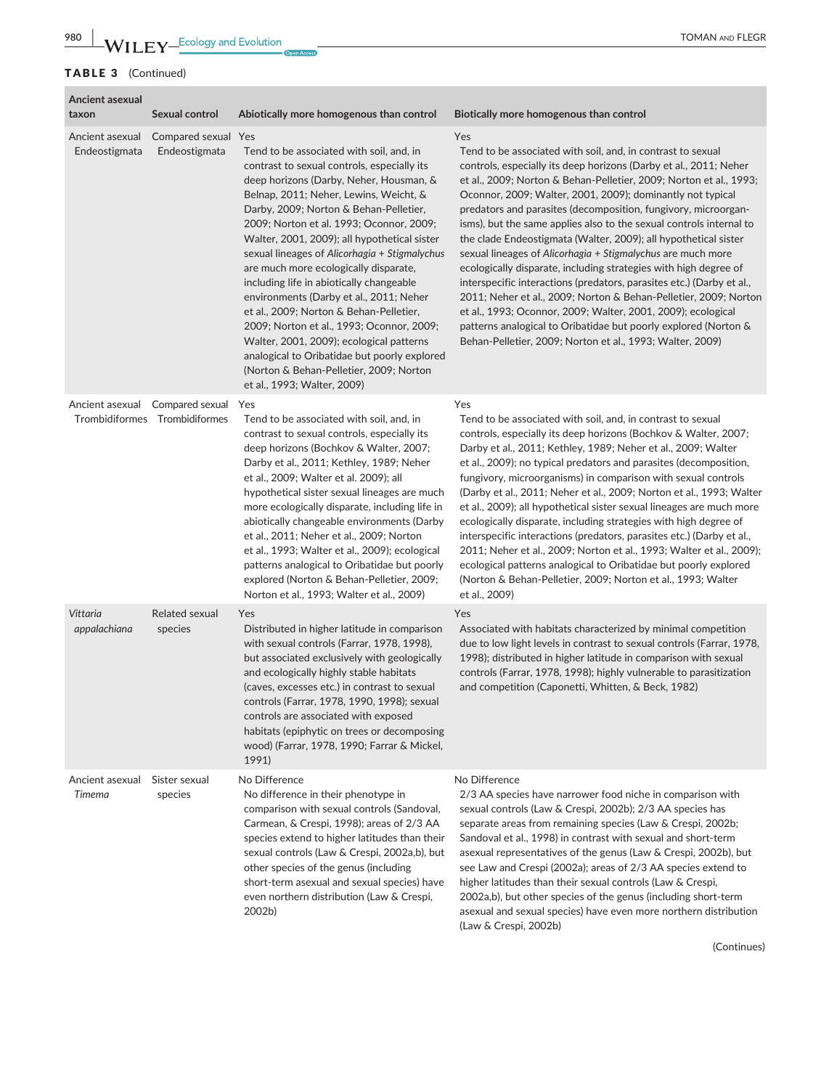# TABLE 3 (Continued)

| Ancient asexual<br>taxon         | Sexual control                                   | Abiotically more homogenous than control                                                                                                                                                                                                                                                                                                                                                                                                                                                                                                                                                                                                                                                                                                                          | Biotically more homogenous than control                                                                                                                                                                                                                                                                                                                                                                                                                                                                                                                                                                                                                                                                                                                                                                                                                                                                                                                                 |
|----------------------------------|--------------------------------------------------|-------------------------------------------------------------------------------------------------------------------------------------------------------------------------------------------------------------------------------------------------------------------------------------------------------------------------------------------------------------------------------------------------------------------------------------------------------------------------------------------------------------------------------------------------------------------------------------------------------------------------------------------------------------------------------------------------------------------------------------------------------------------|-------------------------------------------------------------------------------------------------------------------------------------------------------------------------------------------------------------------------------------------------------------------------------------------------------------------------------------------------------------------------------------------------------------------------------------------------------------------------------------------------------------------------------------------------------------------------------------------------------------------------------------------------------------------------------------------------------------------------------------------------------------------------------------------------------------------------------------------------------------------------------------------------------------------------------------------------------------------------|
| Ancient asexual<br>Endeostigmata | Compared sexual Yes<br>Endeostigmata             | Tend to be associated with soil, and, in<br>contrast to sexual controls, especially its<br>deep horizons (Darby, Neher, Housman, &<br>Belnap, 2011; Neher, Lewins, Weicht, &<br>Darby, 2009; Norton & Behan-Pelletier,<br>2009; Norton et al. 1993; Oconnor, 2009;<br>Walter, 2001, 2009); all hypothetical sister<br>sexual lineages of Alicorhagia + Stigmalychus<br>are much more ecologically disparate,<br>including life in abiotically changeable<br>environments (Darby et al., 2011; Neher<br>et al., 2009; Norton & Behan-Pelletier,<br>2009; Norton et al., 1993; Oconnor, 2009;<br>Walter, 2001, 2009); ecological patterns<br>analogical to Oribatidae but poorly explored<br>(Norton & Behan-Pelletier, 2009; Norton<br>et al., 1993; Walter, 2009) | Yes<br>Tend to be associated with soil, and, in contrast to sexual<br>controls, especially its deep horizons (Darby et al., 2011; Neher<br>et al., 2009; Norton & Behan-Pelletier, 2009; Norton et al., 1993;<br>Oconnor, 2009; Walter, 2001, 2009); dominantly not typical<br>predators and parasites (decomposition, fungivory, microorgan-<br>isms), but the same applies also to the sexual controls internal to<br>the clade Endeostigmata (Walter, 2009); all hypothetical sister<br>sexual lineages of Alicorhagia + Stigmalychus are much more<br>ecologically disparate, including strategies with high degree of<br>interspecific interactions (predators, parasites etc.) (Darby et al.,<br>2011; Neher et al., 2009; Norton & Behan-Pelletier, 2009; Norton<br>et al., 1993; Oconnor, 2009; Walter, 2001, 2009); ecological<br>patterns analogical to Oribatidae but poorly explored (Norton &<br>Behan-Pelletier, 2009; Norton et al., 1993; Walter, 2009) |
| Ancient asexual                  | Compared sexual<br>Trombidiformes Trombidiformes | Yes<br>Tend to be associated with soil, and, in<br>contrast to sexual controls, especially its<br>deep horizons (Bochkov & Walter, 2007;<br>Darby et al., 2011; Kethley, 1989; Neher<br>et al., 2009; Walter et al. 2009); all<br>hypothetical sister sexual lineages are much<br>more ecologically disparate, including life in<br>abiotically changeable environments (Darby<br>et al., 2011; Neher et al., 2009; Norton<br>et al., 1993; Walter et al., 2009); ecological<br>patterns analogical to Oribatidae but poorly<br>explored (Norton & Behan-Pelletier, 2009;<br>Norton et al., 1993; Walter et al., 2009)                                                                                                                                            | Yes<br>Tend to be associated with soil, and, in contrast to sexual<br>controls, especially its deep horizons (Bochkov & Walter, 2007;<br>Darby et al., 2011; Kethley, 1989; Neher et al., 2009; Walter<br>et al., 2009); no typical predators and parasites (decomposition,<br>fungivory, microorganisms) in comparison with sexual controls<br>(Darby et al., 2011; Neher et al., 2009; Norton et al., 1993; Walter<br>et al., 2009); all hypothetical sister sexual lineages are much more<br>ecologically disparate, including strategies with high degree of<br>interspecific interactions (predators, parasites etc.) (Darby et al.,<br>2011; Neher et al., 2009; Norton et al., 1993; Walter et al., 2009);<br>ecological patterns analogical to Oribatidae but poorly explored<br>(Norton & Behan-Pelletier, 2009; Norton et al., 1993; Walter<br>et al., 2009)                                                                                                  |
| Vittaria<br>appalachiana         | Related sexual<br>species                        | Yes<br>Distributed in higher latitude in comparison<br>with sexual controls (Farrar, 1978, 1998),<br>but associated exclusively with geologically<br>and ecologically highly stable habitats<br>(caves, excesses etc.) in contrast to sexual<br>controls (Farrar, 1978, 1990, 1998); sexual<br>controls are associated with exposed<br>habitats (epiphytic on trees or decomposing<br>wood) (Farrar, 1978, 1990; Farrar & Mickel,<br>1991)                                                                                                                                                                                                                                                                                                                        | Yes<br>Associated with habitats characterized by minimal competition<br>due to low light levels in contrast to sexual controls (Farrar, 1978,<br>1998); distributed in higher latitude in comparison with sexual<br>controls (Farrar, 1978, 1998); highly vulnerable to parasitization<br>and competition (Caponetti, Whitten, & Beck, 1982)                                                                                                                                                                                                                                                                                                                                                                                                                                                                                                                                                                                                                            |
| Ancient asexual<br>Timema        | Sister sexual<br>species                         | No Difference<br>No difference in their phenotype in<br>comparison with sexual controls (Sandoval,<br>Carmean, & Crespi, 1998); areas of 2/3 AA<br>species extend to higher latitudes than their<br>sexual controls (Law & Crespi, 2002a,b), but<br>other species of the genus (including<br>short-term asexual and sexual species) have<br>even northern distribution (Law & Crespi,<br>2002b)                                                                                                                                                                                                                                                                                                                                                                   | No Difference<br>2/3 AA species have narrower food niche in comparison with<br>sexual controls (Law & Crespi, 2002b); 2/3 AA species has<br>separate areas from remaining species (Law & Crespi, 2002b;<br>Sandoval et al., 1998) in contrast with sexual and short-term<br>asexual representatives of the genus (Law & Crespi, 2002b), but<br>see Law and Crespi (2002a); areas of 2/3 AA species extend to<br>higher latitudes than their sexual controls (Law & Crespi,<br>2002a,b), but other species of the genus (including short-term<br>asexual and sexual species) have even more northern distribution<br>(Law & Crespi, 2002b)                                                                                                                                                                                                                                                                                                                               |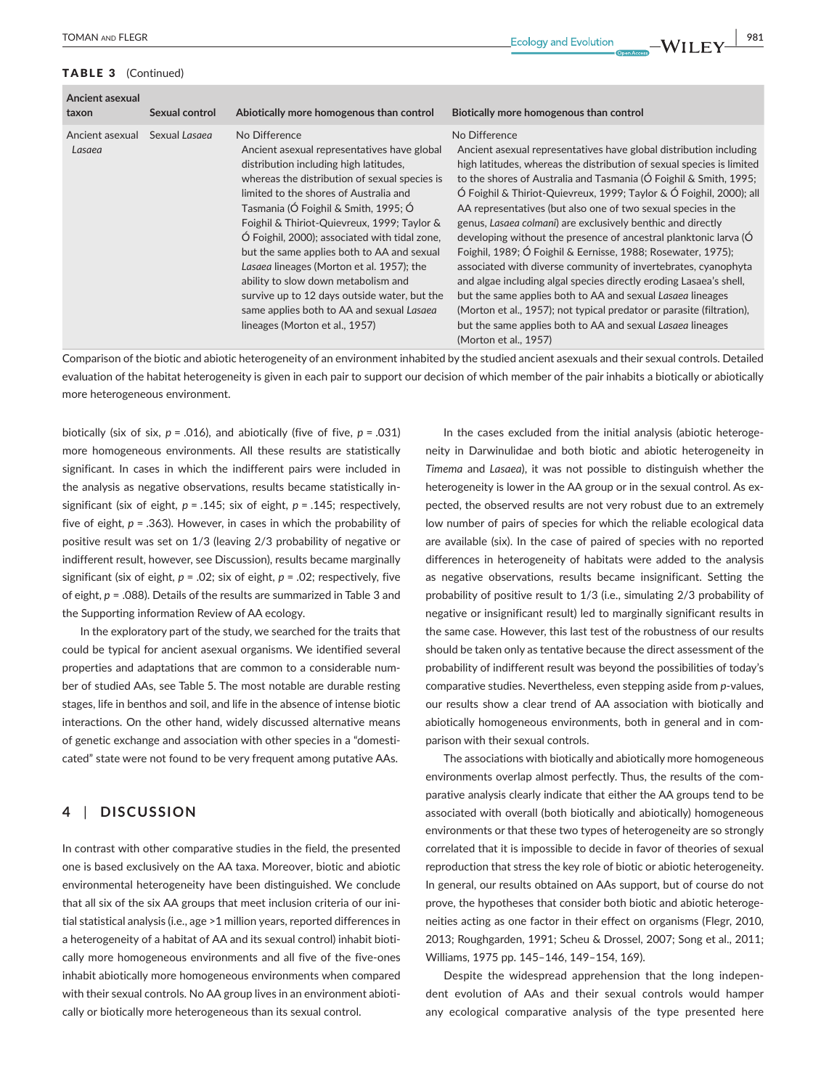#### TABLE 3 (Continued)

| <b>Ancient asexual</b><br>taxon | Sexual control | Abiotically more homogenous than control                                                                                                                                                                                                                                                                                                                                                                                                                                                                                                                                                                   | Biotically more homogenous than control                                                                                                                                                                                                                                                                                                                                                                                                                                                                                                                                                                                                                                                                                                                                                                                                                                                                                                            |
|---------------------------------|----------------|------------------------------------------------------------------------------------------------------------------------------------------------------------------------------------------------------------------------------------------------------------------------------------------------------------------------------------------------------------------------------------------------------------------------------------------------------------------------------------------------------------------------------------------------------------------------------------------------------------|----------------------------------------------------------------------------------------------------------------------------------------------------------------------------------------------------------------------------------------------------------------------------------------------------------------------------------------------------------------------------------------------------------------------------------------------------------------------------------------------------------------------------------------------------------------------------------------------------------------------------------------------------------------------------------------------------------------------------------------------------------------------------------------------------------------------------------------------------------------------------------------------------------------------------------------------------|
| Ancient asexual<br>Lasaea       | Sexual Lasgea  | No Difference<br>Ancient asexual representatives have global<br>distribution including high latitudes,<br>whereas the distribution of sexual species is<br>limited to the shores of Australia and<br>Tasmania (Ó Foighil & Smith, 1995; Ó<br>Foighil & Thiriot-Quievreux, 1999; Taylor &<br>Ó Foighil, 2000); associated with tidal zone,<br>but the same applies both to AA and sexual<br>Lasaea lineages (Morton et al. 1957); the<br>ability to slow down metabolism and<br>survive up to 12 days outside water, but the<br>same applies both to AA and sexual Lasaea<br>lineages (Morton et al., 1957) | No Difference<br>Ancient asexual representatives have global distribution including<br>high latitudes, whereas the distribution of sexual species is limited<br>to the shores of Australia and Tasmania (O Foighil & Smith, 1995;<br>Ó Foighil & Thiriot-Quievreux, 1999; Taylor & Ó Foighil, 2000); all<br>AA representatives (but also one of two sexual species in the<br>genus, Lasaea colmani) are exclusively benthic and directly<br>developing without the presence of ancestral planktonic larva (O<br>Foighil, 1989; Ó Foighil & Eernisse, 1988; Rosewater, 1975);<br>associated with diverse community of invertebrates, cyanophyta<br>and algae including algal species directly eroding Lasaea's shell,<br>but the same applies both to AA and sexual Lasaea lineages<br>(Morton et al., 1957); not typical predator or parasite (filtration),<br>but the same applies both to AA and sexual Lasaea lineages<br>(Morton et al., 1957) |

Comparison of the biotic and abiotic heterogeneity of an environment inhabited by the studied ancient asexuals and their sexual controls. Detailed evaluation of the habitat heterogeneity is given in each pair to support our decision of which member of the pair inhabits a biotically or abiotically more heterogeneous environment.

biotically (six of six, *p* = .016), and abiotically (five of five, *p* = .031) more homogeneous environments. All these results are statistically significant. In cases in which the indifferent pairs were included in the analysis as negative observations, results became statistically insignificant (six of eight, *p* = .145; six of eight, *p* = .145; respectively, five of eight, *p* = .363). However, in cases in which the probability of positive result was set on 1/3 (leaving 2/3 probability of negative or indifferent result, however, see Discussion), results became marginally significant (six of eight, *p* = .02; six of eight, *p* = .02; respectively, five of eight, *p* = .088). Details of the results are summarized in Table 3 and the Supporting information Review of AA ecology.

In the exploratory part of the study, we searched for the traits that could be typical for ancient asexual organisms. We identified several properties and adaptations that are common to a considerable number of studied AAs, see Table 5. The most notable are durable resting stages, life in benthos and soil, and life in the absence of intense biotic interactions. On the other hand, widely discussed alternative means of genetic exchange and association with other species in a "domesticated" state were not found to be very frequent among putative AAs.

# **4** | **DISCUSSION**

In contrast with other comparative studies in the field, the presented one is based exclusively on the AA taxa. Moreover, biotic and abiotic environmental heterogeneity have been distinguished. We conclude that all six of the six AA groups that meet inclusion criteria of our initial statistical analysis (i.e., age >1 million years, reported differences in a heterogeneity of a habitat of AA and its sexual control) inhabit biotically more homogeneous environments and all five of the five-ones inhabit abiotically more homogeneous environments when compared with their sexual controls. No AA group lives in an environment abiotically or biotically more heterogeneous than its sexual control.

In the cases excluded from the initial analysis (abiotic heterogeneity in Darwinulidae and both biotic and abiotic heterogeneity in *Timema* and *Lasaea*), it was not possible to distinguish whether the heterogeneity is lower in the AA group or in the sexual control. As expected, the observed results are not very robust due to an extremely low number of pairs of species for which the reliable ecological data are available (six). In the case of paired of species with no reported differences in heterogeneity of habitats were added to the analysis as negative observations, results became insignificant. Setting the probability of positive result to 1/3 (i.e., simulating 2/3 probability of negative or insignificant result) led to marginally significant results in the same case. However, this last test of the robustness of our results should be taken only as tentative because the direct assessment of the probability of indifferent result was beyond the possibilities of today's comparative studies. Nevertheless, even stepping aside from *p*-values, our results show a clear trend of AA association with biotically and abiotically homogeneous environments, both in general and in comparison with their sexual controls.

The associations with biotically and abiotically more homogeneous environments overlap almost perfectly. Thus, the results of the comparative analysis clearly indicate that either the AA groups tend to be associated with overall (both biotically and abiotically) homogeneous environments or that these two types of heterogeneity are so strongly correlated that it is impossible to decide in favor of theories of sexual reproduction that stress the key role of biotic or abiotic heterogeneity. In general, our results obtained on AAs support, but of course do not prove, the hypotheses that consider both biotic and abiotic heterogeneities acting as one factor in their effect on organisms (Flegr, 2010, 2013; Roughgarden, 1991; Scheu & Drossel, 2007; Song et al., 2011; Williams, 1975 pp. 145–146, 149–154, 169).

Despite the widespread apprehension that the long independent evolution of AAs and their sexual controls would hamper any ecological comparative analysis of the type presented here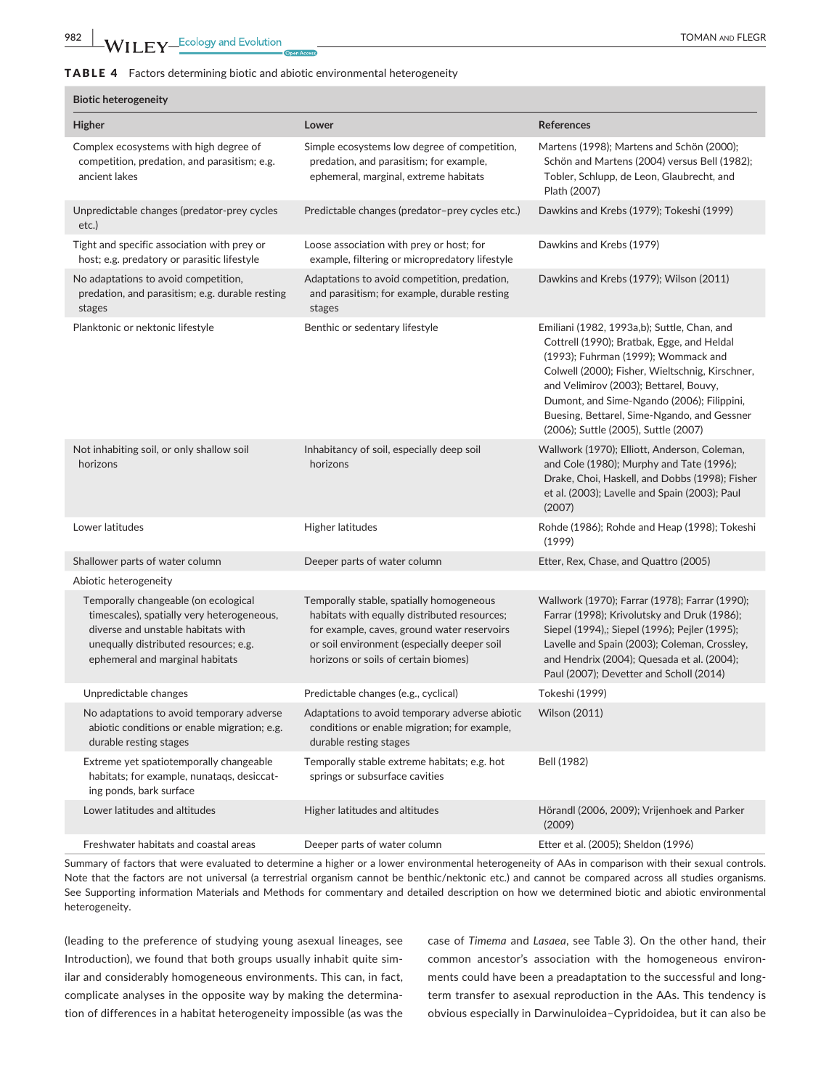×

**982 WII FY** Ecology and Evolution **and Example 2018 COMAN AND FLEGR** 

### TABLE 4 Factors determining biotic and abiotic environmental heterogeneity

| <b>Biotic heterogeneity</b>                                                                                                                                                                          |                                                                                                                                                                                                                                |                                                                                                                                                                                                                                                                                                                                                                    |
|------------------------------------------------------------------------------------------------------------------------------------------------------------------------------------------------------|--------------------------------------------------------------------------------------------------------------------------------------------------------------------------------------------------------------------------------|--------------------------------------------------------------------------------------------------------------------------------------------------------------------------------------------------------------------------------------------------------------------------------------------------------------------------------------------------------------------|
| Higher                                                                                                                                                                                               | Lower                                                                                                                                                                                                                          | References                                                                                                                                                                                                                                                                                                                                                         |
| Complex ecosystems with high degree of<br>competition, predation, and parasitism; e.g.<br>ancient lakes                                                                                              | Simple ecosystems low degree of competition,<br>predation, and parasitism; for example,<br>ephemeral, marginal, extreme habitats                                                                                               | Martens (1998); Martens and Schön (2000);<br>Schön and Martens (2004) versus Bell (1982);<br>Tobler, Schlupp, de Leon, Glaubrecht, and<br>Plath (2007)                                                                                                                                                                                                             |
| Unpredictable changes (predator-prey cycles<br>etc.)                                                                                                                                                 | Predictable changes (predator-prey cycles etc.)                                                                                                                                                                                | Dawkins and Krebs (1979); Tokeshi (1999)                                                                                                                                                                                                                                                                                                                           |
| Tight and specific association with prey or<br>host; e.g. predatory or parasitic lifestyle                                                                                                           | Loose association with prey or host; for<br>example, filtering or micropredatory lifestyle                                                                                                                                     | Dawkins and Krebs (1979)                                                                                                                                                                                                                                                                                                                                           |
| No adaptations to avoid competition,<br>predation, and parasitism; e.g. durable resting<br>stages                                                                                                    | Adaptations to avoid competition, predation,<br>and parasitism; for example, durable resting<br>stages                                                                                                                         | Dawkins and Krebs (1979); Wilson (2011)                                                                                                                                                                                                                                                                                                                            |
| Planktonic or nektonic lifestyle                                                                                                                                                                     | Benthic or sedentary lifestyle                                                                                                                                                                                                 | Emiliani (1982, 1993a,b); Suttle, Chan, and<br>Cottrell (1990); Bratbak, Egge, and Heldal<br>(1993); Fuhrman (1999); Wommack and<br>Colwell (2000); Fisher, Wieltschnig, Kirschner,<br>and Velimirov (2003); Bettarel, Bouvy,<br>Dumont, and Sime-Ngando (2006); Filippini,<br>Buesing, Bettarel, Sime-Ngando, and Gessner<br>(2006); Suttle (2005), Suttle (2007) |
| Not inhabiting soil, or only shallow soil<br>horizons                                                                                                                                                | Inhabitancy of soil, especially deep soil<br>horizons                                                                                                                                                                          | Wallwork (1970); Elliott, Anderson, Coleman,<br>and Cole (1980); Murphy and Tate (1996);<br>Drake, Choi, Haskell, and Dobbs (1998); Fisher<br>et al. (2003); Lavelle and Spain (2003); Paul<br>(2007)                                                                                                                                                              |
| Lower latitudes                                                                                                                                                                                      | Higher latitudes                                                                                                                                                                                                               | Rohde (1986); Rohde and Heap (1998); Tokeshi<br>(1999)                                                                                                                                                                                                                                                                                                             |
| Shallower parts of water column                                                                                                                                                                      | Deeper parts of water column                                                                                                                                                                                                   | Etter, Rex, Chase, and Quattro (2005)                                                                                                                                                                                                                                                                                                                              |
| Abiotic heterogeneity                                                                                                                                                                                |                                                                                                                                                                                                                                |                                                                                                                                                                                                                                                                                                                                                                    |
| Temporally changeable (on ecological<br>timescales), spatially very heterogeneous,<br>diverse and unstable habitats with<br>unequally distributed resources; e.g.<br>ephemeral and marginal habitats | Temporally stable, spatially homogeneous<br>habitats with equally distributed resources;<br>for example, caves, ground water reservoirs<br>or soil environment (especially deeper soil<br>horizons or soils of certain biomes) | Wallwork (1970); Farrar (1978); Farrar (1990);<br>Farrar (1998); Krivolutsky and Druk (1986);<br>Siepel (1994),; Siepel (1996); Pejler (1995);<br>Lavelle and Spain (2003); Coleman, Crossley,<br>and Hendrix (2004); Quesada et al. (2004);<br>Paul (2007); Devetter and Scholl (2014)                                                                            |
| Unpredictable changes                                                                                                                                                                                | Predictable changes (e.g., cyclical)                                                                                                                                                                                           | Tokeshi (1999)                                                                                                                                                                                                                                                                                                                                                     |
| No adaptations to avoid temporary adverse<br>abiotic conditions or enable migration; e.g.<br>durable resting stages                                                                                  | Adaptations to avoid temporary adverse abiotic<br>conditions or enable migration; for example,<br>durable resting stages                                                                                                       | <b>Wilson (2011)</b>                                                                                                                                                                                                                                                                                                                                               |
| Extreme yet spatiotemporally changeable<br>habitats; for example, nunatags, desiccat-<br>ing ponds, bark surface                                                                                     | Temporally stable extreme habitats; e.g. hot<br>springs or subsurface cavities                                                                                                                                                 | Bell (1982)                                                                                                                                                                                                                                                                                                                                                        |
| Lower latitudes and altitudes                                                                                                                                                                        | Higher latitudes and altitudes                                                                                                                                                                                                 | Hörandl (2006, 2009); Vrijenhoek and Parker<br>(2009)                                                                                                                                                                                                                                                                                                              |
| Freshwater habitats and coastal areas                                                                                                                                                                | Deeper parts of water column                                                                                                                                                                                                   | Etter et al. (2005); Sheldon (1996)                                                                                                                                                                                                                                                                                                                                |

Summary of factors that were evaluated to determine a higher or a lower environmental heterogeneity of AAs in comparison with their sexual controls. Note that the factors are not universal (a terrestrial organism cannot be benthic/nektonic etc.) and cannot be compared across all studies organisms. See Supporting information Materials and Methods for commentary and detailed description on how we determined biotic and abiotic environmental heterogeneity.

(leading to the preference of studying young asexual lineages, see Introduction), we found that both groups usually inhabit quite similar and considerably homogeneous environments. This can, in fact, complicate analyses in the opposite way by making the determination of differences in a habitat heterogeneity impossible (as was the case of *Timema* and *Lasaea*, see Table 3). On the other hand, their common ancestor's association with the homogeneous environments could have been a preadaptation to the successful and longterm transfer to asexual reproduction in the AAs. This tendency is obvious especially in Darwinuloidea–Cypridoidea, but it can also be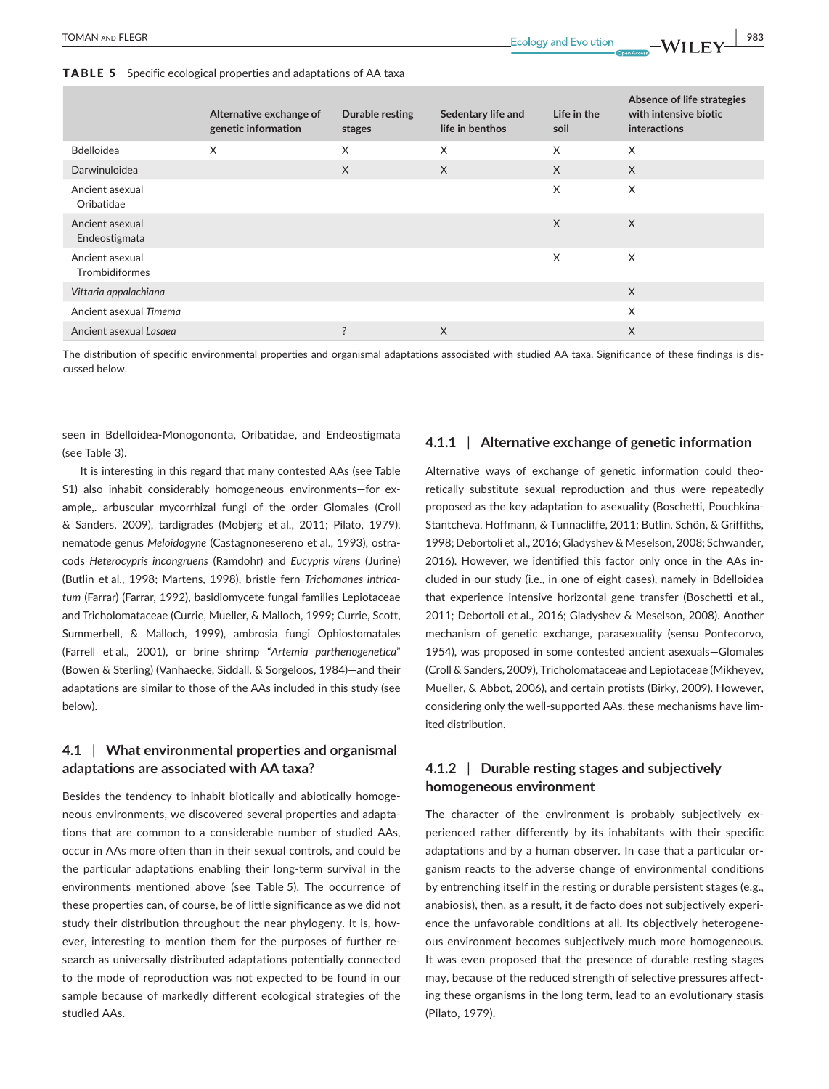TABLE 5 Specific ecological properties and adaptations of AA taxa

|                                   | Alternative exchange of<br>genetic information | Durable resting<br>stages | Sedentary life and<br>life in benthos | Life in the<br>soil | Absence of life strategies<br>with intensive biotic<br><b>interactions</b> |
|-----------------------------------|------------------------------------------------|---------------------------|---------------------------------------|---------------------|----------------------------------------------------------------------------|
| <b>Bdelloidea</b>                 | X                                              | X                         | X                                     | X                   | X                                                                          |
| Darwinuloidea                     |                                                | $\times$                  | X                                     | $\times$            | $\times$                                                                   |
| Ancient asexual<br>Oribatidae     |                                                |                           |                                       | X                   | X                                                                          |
| Ancient asexual<br>Endeostigmata  |                                                |                           |                                       | $\times$            | $\times$                                                                   |
| Ancient asexual<br>Trombidiformes |                                                |                           |                                       | X                   | X                                                                          |
| Vittaria appalachiana             |                                                |                           |                                       |                     | $\times$                                                                   |
| Ancient asexual Timema            |                                                |                           |                                       |                     | X                                                                          |
| Ancient asexual Lasgea            |                                                | $\overline{?}$            | X                                     |                     | X                                                                          |

The distribution of specific environmental properties and organismal adaptations associated with studied AA taxa. Significance of these findings is discussed below.

seen in Bdelloidea-Monogononta, Oribatidae, and Endeostigmata (see Table 3).

It is interesting in this regard that many contested AAs (see Table S1) also inhabit considerably homogeneous environments—for example,. arbuscular mycorrhizal fungi of the order Glomales (Croll & Sanders, 2009), tardigrades (Mobjerg et al., 2011; Pilato, 1979), nematode genus *Meloidogyne* (Castagnonesereno et al., 1993), ostracods *Heterocypris incongruens* (Ramdohr) and *Eucypris virens* (Jurine) (Butlin et al., 1998; Martens, 1998), bristle fern *Trichomanes intricatum* (Farrar) (Farrar, 1992), basidiomycete fungal families Lepiotaceae and Tricholomataceae (Currie, Mueller, & Malloch, 1999; Currie, Scott, Summerbell, & Malloch, 1999), ambrosia fungi Ophiostomatales (Farrell et al., 2001), or brine shrimp "*Artemia parthenogenetica*" (Bowen & Sterling) (Vanhaecke, Siddall, & Sorgeloos, 1984)—and their adaptations are similar to those of the AAs included in this study (see below).

# **4.1** | **What environmental properties and organismal adaptations are associated with AA taxa?**

Besides the tendency to inhabit biotically and abiotically homogeneous environments, we discovered several properties and adaptations that are common to a considerable number of studied AAs, occur in AAs more often than in their sexual controls, and could be the particular adaptations enabling their long-term survival in the environments mentioned above (see Table 5). The occurrence of these properties can, of course, be of little significance as we did not study their distribution throughout the near phylogeny. It is, however, interesting to mention them for the purposes of further research as universally distributed adaptations potentially connected to the mode of reproduction was not expected to be found in our sample because of markedly different ecological strategies of the studied AAs.

### **4.1.1** | **Alternative exchange of genetic information**

Alternative ways of exchange of genetic information could theoretically substitute sexual reproduction and thus were repeatedly proposed as the key adaptation to asexuality (Boschetti, Pouchkina-Stantcheva, Hoffmann, & Tunnacliffe, 2011; Butlin, Schön, & Griffiths, 1998; Debortoli et al., 2016; Gladyshev & Meselson, 2008; Schwander, 2016). However, we identified this factor only once in the AAs included in our study (i.e., in one of eight cases), namely in Bdelloidea that experience intensive horizontal gene transfer (Boschetti et al., 2011; Debortoli et al., 2016; Gladyshev & Meselson, 2008). Another mechanism of genetic exchange, parasexuality (sensu Pontecorvo, 1954), was proposed in some contested ancient asexuals—Glomales (Croll & Sanders, 2009), Tricholomataceae and Lepiotaceae (Mikheyev, Mueller, & Abbot, 2006), and certain protists (Birky, 2009). However, considering only the well-supported AAs, these mechanisms have limited distribution.

# **4.1.2** | **Durable resting stages and subjectively homogeneous environment**

The character of the environment is probably subjectively experienced rather differently by its inhabitants with their specific adaptations and by a human observer. In case that a particular organism reacts to the adverse change of environmental conditions by entrenching itself in the resting or durable persistent stages (e.g., anabiosis), then, as a result, it de facto does not subjectively experience the unfavorable conditions at all. Its objectively heterogeneous environment becomes subjectively much more homogeneous. It was even proposed that the presence of durable resting stages may, because of the reduced strength of selective pressures affecting these organisms in the long term, lead to an evolutionary stasis (Pilato, 1979).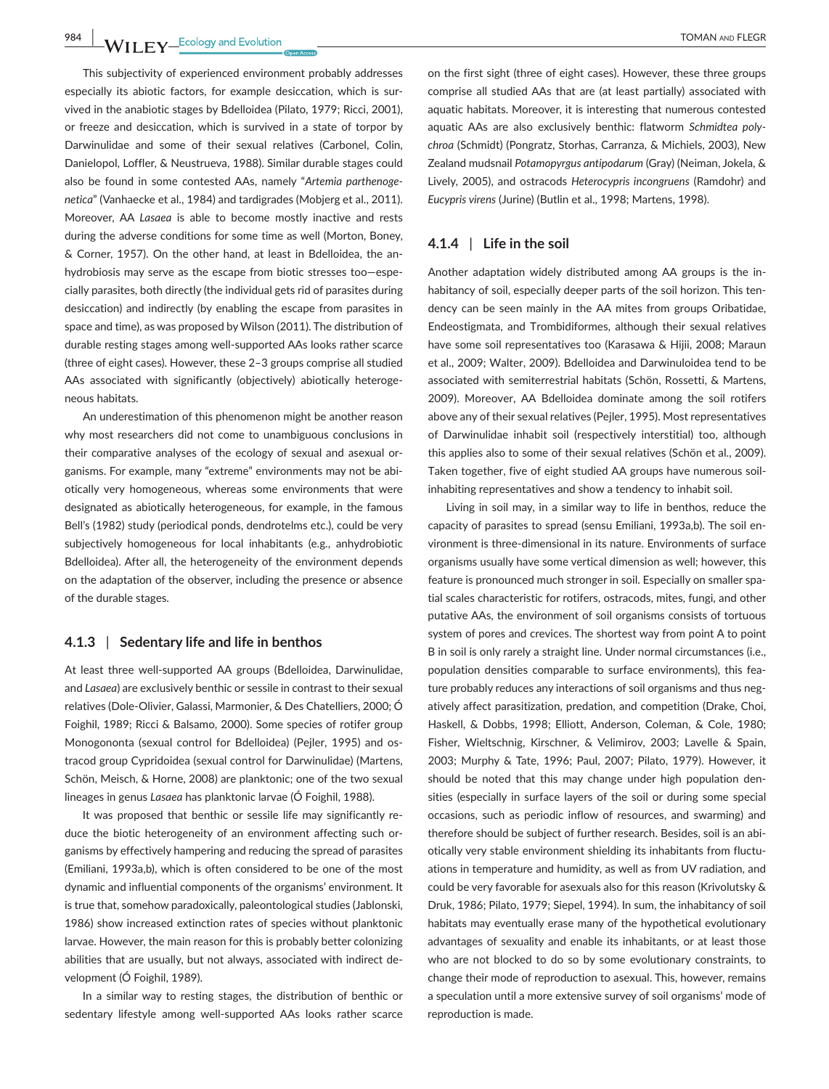**984 WII FY** Ecology and Evolution **and Example 2018 <b>COMAN AND FLEGR** 

This subjectivity of experienced environment probably addresses especially its abiotic factors, for example desiccation, which is survived in the anabiotic stages by Bdelloidea (Pilato, 1979; Ricci, 2001), or freeze and desiccation, which is survived in a state of torpor by Darwinulidae and some of their sexual relatives (Carbonel, Colin, Danielopol, Loffler, & Neustrueva, 1988). Similar durable stages could also be found in some contested AAs, namely "*Artemia parthenogenetica*" (Vanhaecke et al., 1984) and tardigrades (Mobjerg et al., 2011). Moreover, AA *Lasaea* is able to become mostly inactive and rests during the adverse conditions for some time as well (Morton, Boney, & Corner, 1957). On the other hand, at least in Bdelloidea, the anhydrobiosis may serve as the escape from biotic stresses too—especially parasites, both directly (the individual gets rid of parasites during desiccation) and indirectly (by enabling the escape from parasites in space and time), as was proposed by Wilson (2011). The distribution of durable resting stages among well-supported AAs looks rather scarce (three of eight cases). However, these 2–3 groups comprise all studied AAs associated with significantly (objectively) abiotically heterogeneous habitats.

An underestimation of this phenomenon might be another reason why most researchers did not come to unambiguous conclusions in their comparative analyses of the ecology of sexual and asexual organisms. For example, many "extreme" environments may not be abiotically very homogeneous, whereas some environments that were designated as abiotically heterogeneous, for example, in the famous Bell's (1982) study (periodical ponds, dendrotelms etc.), could be very subjectively homogeneous for local inhabitants (e.g., anhydrobiotic Bdelloidea). After all, the heterogeneity of the environment depends on the adaptation of the observer, including the presence or absence of the durable stages.

### **4.1.3** | **Sedentary life and life in benthos**

At least three well-supported AA groups (Bdelloidea, Darwinulidae, and *Lasaea*) are exclusively benthic or sessile in contrast to their sexual relatives (Dole-Olivier, Galassi, Marmonier, & Des Chatelliers, 2000; Ó Foighil, 1989; Ricci & Balsamo, 2000). Some species of rotifer group Monogononta (sexual control for Bdelloidea) (Pejler, 1995) and ostracod group Cypridoidea (sexual control for Darwinulidae) (Martens, Schön, Meisch, & Horne, 2008) are planktonic; one of the two sexual lineages in genus *Lasaea* has planktonic larvae (Ó Foighil, 1988).

It was proposed that benthic or sessile life may significantly reduce the biotic heterogeneity of an environment affecting such organisms by effectively hampering and reducing the spread of parasites (Emiliani, 1993a,b), which is often considered to be one of the most dynamic and influential components of the organisms' environment. It is true that, somehow paradoxically, paleontological studies (Jablonski, 1986) show increased extinction rates of species without planktonic larvae. However, the main reason for this is probably better colonizing abilities that are usually, but not always, associated with indirect development (Ó Foighil, 1989).

In a similar way to resting stages, the distribution of benthic or sedentary lifestyle among well-supported AAs looks rather scarce

on the first sight (three of eight cases). However, these three groups comprise all studied AAs that are (at least partially) associated with aquatic habitats. Moreover, it is interesting that numerous contested aquatic AAs are also exclusively benthic: flatworm *Schmidtea polychroa* (Schmidt) (Pongratz, Storhas, Carranza, & Michiels, 2003), New Zealand mudsnail *Potamopyrgus antipodarum* (Gray) (Neiman, Jokela, & Lively, 2005), and ostracods *Heterocypris incongruens* (Ramdohr) and *Eucypris virens* (Jurine) (Butlin et al., 1998; Martens, 1998).

# **4.1.4** | **Life in the soil**

Another adaptation widely distributed among AA groups is the inhabitancy of soil, especially deeper parts of the soil horizon. This tendency can be seen mainly in the AA mites from groups Oribatidae, Endeostigmata, and Trombidiformes, although their sexual relatives have some soil representatives too (Karasawa & Hijii, 2008; Maraun et al., 2009; Walter, 2009). Bdelloidea and Darwinuloidea tend to be associated with semiterrestrial habitats (Schön, Rossetti, & Martens, 2009). Moreover, AA Bdelloidea dominate among the soil rotifers above any of their sexual relatives (Pejler, 1995). Most representatives of Darwinulidae inhabit soil (respectively interstitial) too, although this applies also to some of their sexual relatives (Schön et al., 2009). Taken together, five of eight studied AA groups have numerous soilinhabiting representatives and show a tendency to inhabit soil.

Living in soil may, in a similar way to life in benthos, reduce the capacity of parasites to spread (sensu Emiliani, 1993a,b). The soil environment is three-dimensional in its nature. Environments of surface organisms usually have some vertical dimension as well; however, this feature is pronounced much stronger in soil. Especially on smaller spatial scales characteristic for rotifers, ostracods, mites, fungi, and other putative AAs, the environment of soil organisms consists of tortuous system of pores and crevices. The shortest way from point A to point B in soil is only rarely a straight line. Under normal circumstances (i.e., population densities comparable to surface environments), this feature probably reduces any interactions of soil organisms and thus negatively affect parasitization, predation, and competition (Drake, Choi, Haskell, & Dobbs, 1998; Elliott, Anderson, Coleman, & Cole, 1980; Fisher, Wieltschnig, Kirschner, & Velimirov, 2003; Lavelle & Spain, 2003; Murphy & Tate, 1996; Paul, 2007; Pilato, 1979). However, it should be noted that this may change under high population densities (especially in surface layers of the soil or during some special occasions, such as periodic inflow of resources, and swarming) and therefore should be subject of further research. Besides, soil is an abiotically very stable environment shielding its inhabitants from fluctuations in temperature and humidity, as well as from UV radiation, and could be very favorable for asexuals also for this reason (Krivolutsky & Druk, 1986; Pilato, 1979; Siepel, 1994). In sum, the inhabitancy of soil habitats may eventually erase many of the hypothetical evolutionary advantages of sexuality and enable its inhabitants, or at least those who are not blocked to do so by some evolutionary constraints, to change their mode of reproduction to asexual. This, however, remains a speculation until a more extensive survey of soil organisms' mode of reproduction is made.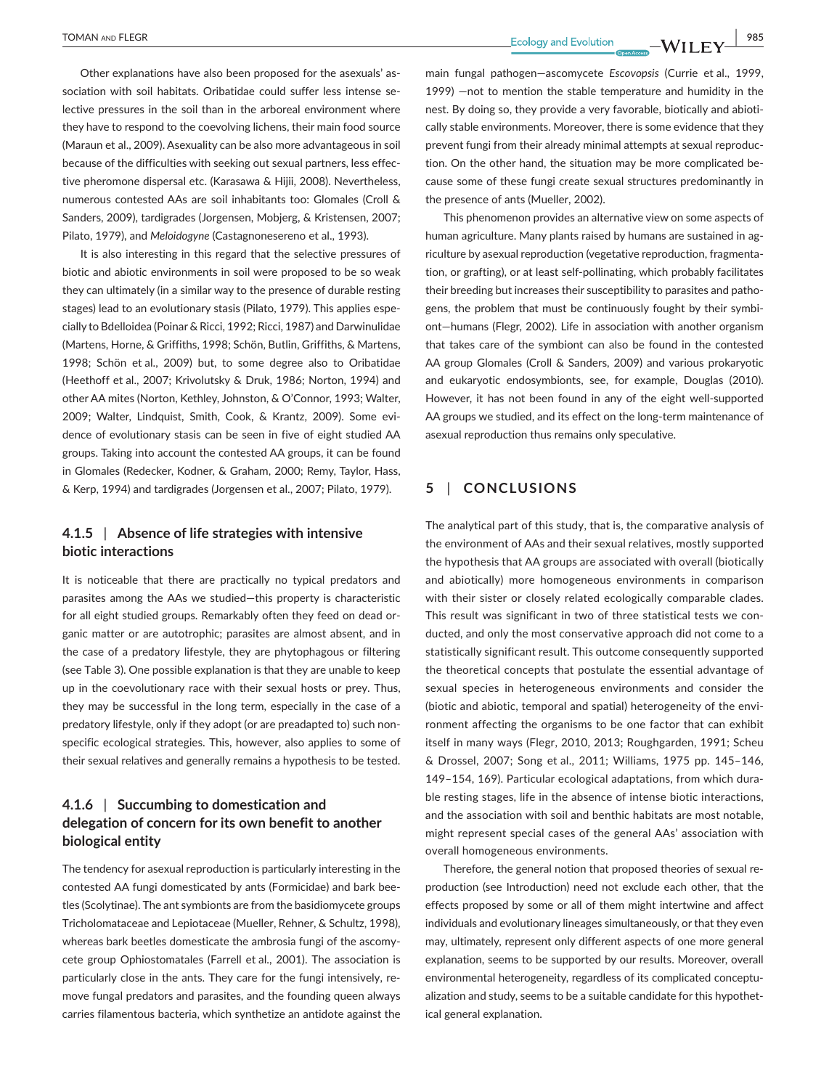Other explanations have also been proposed for the asexuals' association with soil habitats. Oribatidae could suffer less intense selective pressures in the soil than in the arboreal environment where they have to respond to the coevolving lichens, their main food source (Maraun et al., 2009). Asexuality can be also more advantageous in soil because of the difficulties with seeking out sexual partners, less effective pheromone dispersal etc. (Karasawa & Hijii, 2008). Nevertheless, numerous contested AAs are soil inhabitants too: Glomales (Croll & Sanders, 2009), tardigrades (Jorgensen, Mobjerg, & Kristensen, 2007; Pilato, 1979), and *Meloidogyne* (Castagnonesereno et al., 1993).

It is also interesting in this regard that the selective pressures of biotic and abiotic environments in soil were proposed to be so weak they can ultimately (in a similar way to the presence of durable resting stages) lead to an evolutionary stasis (Pilato, 1979). This applies especially to Bdelloidea (Poinar & Ricci, 1992; Ricci, 1987) and Darwinulidae (Martens, Horne, & Griffiths, 1998; Schön, Butlin, Griffiths, & Martens, 1998; Schön et al., 2009) but, to some degree also to Oribatidae (Heethoff et al., 2007; Krivolutsky & Druk, 1986; Norton, 1994) and other AA mites (Norton, Kethley, Johnston, & O'Connor, 1993; Walter, 2009; Walter, Lindquist, Smith, Cook, & Krantz, 2009). Some evidence of evolutionary stasis can be seen in five of eight studied AA groups. Taking into account the contested AA groups, it can be found in Glomales (Redecker, Kodner, & Graham, 2000; Remy, Taylor, Hass, & Kerp, 1994) and tardigrades (Jorgensen et al., 2007; Pilato, 1979).

# **4.1.5** | **Absence of life strategies with intensive biotic interactions**

It is noticeable that there are practically no typical predators and parasites among the AAs we studied—this property is characteristic for all eight studied groups. Remarkably often they feed on dead organic matter or are autotrophic; parasites are almost absent, and in the case of a predatory lifestyle, they are phytophagous or filtering (see Table 3). One possible explanation is that they are unable to keep up in the coevolutionary race with their sexual hosts or prey. Thus, they may be successful in the long term, especially in the case of a predatory lifestyle, only if they adopt (or are preadapted to) such nonspecific ecological strategies. This, however, also applies to some of their sexual relatives and generally remains a hypothesis to be tested.

# **4.1.6** | **Succumbing to domestication and delegation of concern for its own benefit to another biological entity**

The tendency for asexual reproduction is particularly interesting in the contested AA fungi domesticated by ants (Formicidae) and bark beetles (Scolytinae). The ant symbionts are from the basidiomycete groups Tricholomataceae and Lepiotaceae (Mueller, Rehner, & Schultz, 1998), whereas bark beetles domesticate the ambrosia fungi of the ascomycete group Ophiostomatales (Farrell et al., 2001). The association is particularly close in the ants. They care for the fungi intensively, remove fungal predators and parasites, and the founding queen always carries filamentous bacteria, which synthetize an antidote against the

main fungal pathogen—ascomycete *Escovopsis* (Currie et al., 1999, 1999) —not to mention the stable temperature and humidity in the nest. By doing so, they provide a very favorable, biotically and abiotically stable environments. Moreover, there is some evidence that they prevent fungi from their already minimal attempts at sexual reproduction. On the other hand, the situation may be more complicated because some of these fungi create sexual structures predominantly in the presence of ants (Mueller, 2002).

This phenomenon provides an alternative view on some aspects of human agriculture. Many plants raised by humans are sustained in agriculture by asexual reproduction (vegetative reproduction, fragmentation, or grafting), or at least self-pollinating, which probably facilitates their breeding but increases their susceptibility to parasites and pathogens, the problem that must be continuously fought by their symbiont—humans (Flegr, 2002). Life in association with another organism that takes care of the symbiont can also be found in the contested AA group Glomales (Croll & Sanders, 2009) and various prokaryotic and eukaryotic endosymbionts, see, for example, Douglas (2010). However, it has not been found in any of the eight well-supported AA groups we studied, and its effect on the long-term maintenance of asexual reproduction thus remains only speculative.

# **5** | **CONCLUSIONS**

The analytical part of this study, that is, the comparative analysis of the environment of AAs and their sexual relatives, mostly supported the hypothesis that AA groups are associated with overall (biotically and abiotically) more homogeneous environments in comparison with their sister or closely related ecologically comparable clades. This result was significant in two of three statistical tests we conducted, and only the most conservative approach did not come to a statistically significant result. This outcome consequently supported the theoretical concepts that postulate the essential advantage of sexual species in heterogeneous environments and consider the (biotic and abiotic, temporal and spatial) heterogeneity of the environment affecting the organisms to be one factor that can exhibit itself in many ways (Flegr, 2010, 2013; Roughgarden, 1991; Scheu & Drossel, 2007; Song et al., 2011; Williams, 1975 pp. 145–146, 149–154, 169). Particular ecological adaptations, from which durable resting stages, life in the absence of intense biotic interactions, and the association with soil and benthic habitats are most notable, might represent special cases of the general AAs' association with overall homogeneous environments.

Therefore, the general notion that proposed theories of sexual reproduction (see Introduction) need not exclude each other, that the effects proposed by some or all of them might intertwine and affect individuals and evolutionary lineages simultaneously, or that they even may, ultimately, represent only different aspects of one more general explanation, seems to be supported by our results. Moreover, overall environmental heterogeneity, regardless of its complicated conceptualization and study, seems to be a suitable candidate for this hypothetical general explanation.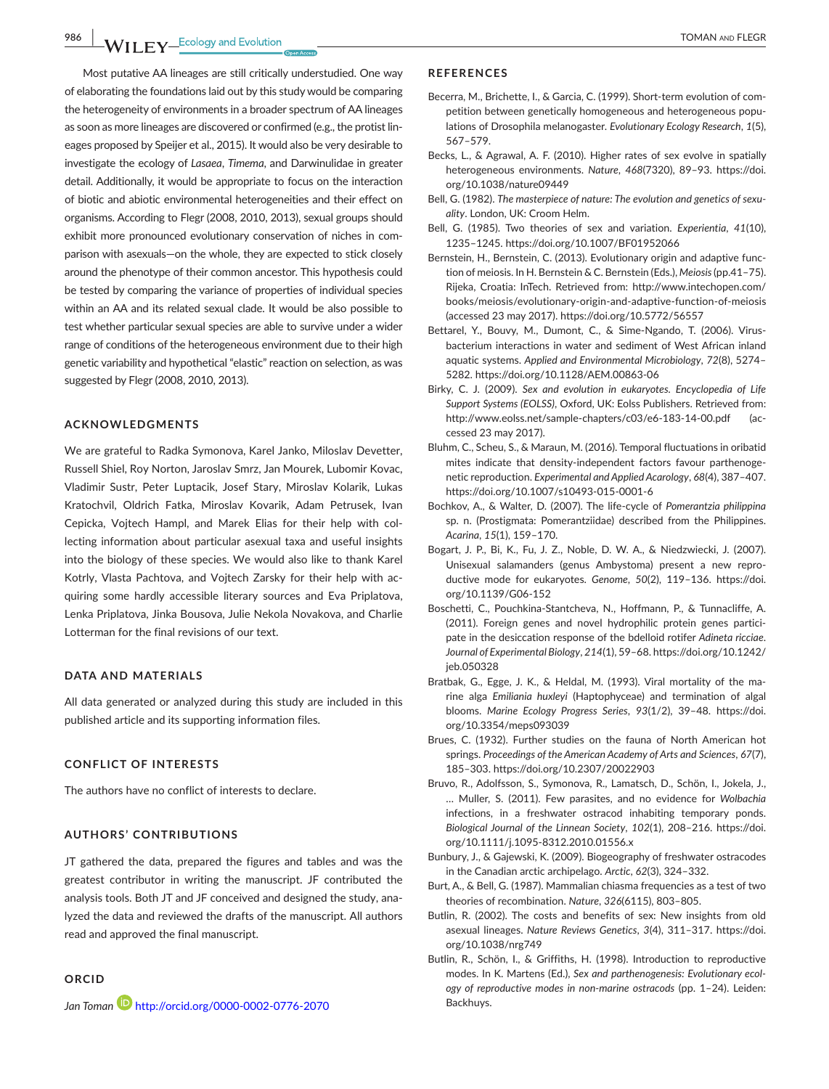**986 WII FY** Ecology and Evolution **and Example 2018 <b>COMAN AND FLEGR** 

Most putative AA lineages are still critically understudied. One way of elaborating the foundations laid out by this study would be comparing the heterogeneity of environments in a broader spectrum of AA lineages as soon as more lineages are discovered or confirmed (e.g., the protist lineages proposed by Speijer et al., 2015). It would also be very desirable to investigate the ecology of *Lasaea*, *Timema*, and Darwinulidae in greater detail. Additionally, it would be appropriate to focus on the interaction of biotic and abiotic environmental heterogeneities and their effect on organisms. According to Flegr (2008, 2010, 2013), sexual groups should exhibit more pronounced evolutionary conservation of niches in comparison with asexuals—on the whole, they are expected to stick closely around the phenotype of their common ancestor. This hypothesis could be tested by comparing the variance of properties of individual species within an AA and its related sexual clade. It would be also possible to test whether particular sexual species are able to survive under a wider range of conditions of the heterogeneous environment due to their high genetic variability and hypothetical "elastic" reaction on selection, as was suggested by Flegr (2008, 2010, 2013).

### **ACKNOWLEDGMENTS**

We are grateful to Radka Symonova, Karel Janko, Miloslav Devetter, Russell Shiel, Roy Norton, Jaroslav Smrz, Jan Mourek, Lubomir Kovac, Vladimir Sustr, Peter Luptacik, Josef Stary, Miroslav Kolarik, Lukas Kratochvil, Oldrich Fatka, Miroslav Kovarik, Adam Petrusek, Ivan Cepicka, Vojtech Hampl, and Marek Elias for their help with collecting information about particular asexual taxa and useful insights into the biology of these species. We would also like to thank Karel Kotrly, Vlasta Pachtova, and Vojtech Zarsky for their help with acquiring some hardly accessible literary sources and Eva Priplatova, Lenka Priplatova, Jinka Bousova, Julie Nekola Novakova, and Charlie Lotterman for the final revisions of our text.

# **DATA AND MATERIALS**

All data generated or analyzed during this study are included in this published article and its supporting information files.

### **CONFLICT OF INTERESTS**

The authors have no conflict of interests to declare.

#### **AUTHORS' CONTRIBUTIONS**

JT gathered the data, prepared the figures and tables and was the greatest contributor in writing the manuscript. JF contributed the analysis tools. Both JT and JF conceived and designed the study, analyzed the data and reviewed the drafts of the manuscript. All authors read and approved the final manuscript.

### **ORCID**

*Jan Toman* <http://orcid.org/0000-0002-0776-2070>

#### **REFERENCES**

- Becerra, M., Brichette, I., & Garcia, C. (1999). Short-term evolution of competition between genetically homogeneous and heterogeneous populations of Drosophila melanogaster. *Evolutionary Ecology Research*, *1*(5), 567–579.
- Becks, L., & Agrawal, A. F. (2010). Higher rates of sex evolve in spatially heterogeneous environments. *Nature*, *468*(7320), 89–93. [https://doi.](https://doi.org/10.1038/nature09449) [org/10.1038/nature09449](https://doi.org/10.1038/nature09449)
- Bell, G. (1982). *The masterpiece of nature: The evolution and genetics of sexuality*. London, UK: Croom Helm.
- Bell, G. (1985). Two theories of sex and variation. *Experientia*, *41*(10), 1235–1245. <https://doi.org/10.1007/BF01952066>
- Bernstein, H., Bernstein, C. (2013). Evolutionary origin and adaptive function of meiosis. In H. Bernstein & C. Bernstein (Eds.), *Meiosis* (pp.41–75). Rijeka, Croatia: InTech. Retrieved from: [http://www.intechopen.com/](http://www.intechopen.com/books/meiosis/evolutionary-origin-and-adaptive-function-of-meiosis) [books/meiosis/evolutionary-origin-and-adaptive-function-of-meiosis](http://www.intechopen.com/books/meiosis/evolutionary-origin-and-adaptive-function-of-meiosis) (accessed 23 may 2017). <https://doi.org/10.5772/56557>
- Bettarel, Y., Bouvy, M., Dumont, C., & Sime-Ngando, T. (2006). Virusbacterium interactions in water and sediment of West African inland aquatic systems. *Applied and Environmental Microbiology*, *72*(8), 5274– 5282. <https://doi.org/10.1128/AEM.00863-06>
- Birky, C. J. (2009). *Sex and evolution in eukaryotes. Encyclopedia of Life Support Systems (EOLSS)*, Oxford, UK: Eolss Publishers. Retrieved from: <http://www.eolss.net/sample-chapters/c03/e6-183-14-00.pdf> (accessed 23 may 2017).
- Bluhm, C., Scheu, S., & Maraun, M. (2016). Temporal fluctuations in oribatid mites indicate that density-independent factors favour parthenogenetic reproduction. *Experimental and Applied Acarology*, *68*(4), 387–407. <https://doi.org/10.1007/s10493-015-0001-6>
- Bochkov, A., & Walter, D. (2007). The life-cycle of *Pomerantzia philippina* sp. n. (Prostigmata: Pomerantziidae) described from the Philippines. *Acarina*, *15*(1), 159–170.
- Bogart, J. P., Bi, K., Fu, J. Z., Noble, D. W. A., & Niedzwiecki, J. (2007). Unisexual salamanders (genus Ambystoma) present a new reproductive mode for eukaryotes. *Genome*, *50*(2), 119–136. [https://doi.](https://doi.org/10.1139/G06-152) [org/10.1139/G06-152](https://doi.org/10.1139/G06-152)
- Boschetti, C., Pouchkina-Stantcheva, N., Hoffmann, P., & Tunnacliffe, A. (2011). Foreign genes and novel hydrophilic protein genes participate in the desiccation response of the bdelloid rotifer *Adineta ricciae*. *Journal of Experimental Biology*, *214*(1), 59–68. [https://doi.org/10.1242/](https://doi.org/10.1242/jeb.050328) [jeb.050328](https://doi.org/10.1242/jeb.050328)
- Bratbak, G., Egge, J. K., & Heldal, M. (1993). Viral mortality of the marine alga *Emiliania huxleyi* (Haptophyceae) and termination of algal blooms. *Marine Ecology Progress Series*, *93*(1/2), 39–48. [https://doi.](https://doi.org/10.3354/meps093039) [org/10.3354/meps093039](https://doi.org/10.3354/meps093039)
- Brues, C. (1932). Further studies on the fauna of North American hot springs. *Proceedings of the American Academy of Arts and Sciences*, *67*(7), 185–303. <https://doi.org/10.2307/20022903>
- Bruvo, R., Adolfsson, S., Symonova, R., Lamatsch, D., Schön, I., Jokela, J., … Muller, S. (2011). Few parasites, and no evidence for *Wolbachia* infections, in a freshwater ostracod inhabiting temporary ponds. *Biological Journal of the Linnean Society*, *102*(1), 208–216. [https://doi.](https://doi.org/10.1111/j.1095-8312.2010.01556.x) [org/10.1111/j.1095-8312.2010.01556.x](https://doi.org/10.1111/j.1095-8312.2010.01556.x)
- Bunbury, J., & Gajewski, K. (2009). Biogeography of freshwater ostracodes in the Canadian arctic archipelago. *Arctic*, *62*(3), 324–332.
- Burt, A., & Bell, G. (1987). Mammalian chiasma frequencies as a test of two theories of recombination. *Nature*, *326*(6115), 803–805.
- Butlin, R. (2002). The costs and benefits of sex: New insights from old asexual lineages. *Nature Reviews Genetics*, *3*(4), 311–317. [https://doi.](https://doi.org/10.1038/nrg749) [org/10.1038/nrg749](https://doi.org/10.1038/nrg749)
- Butlin, R., Schön, I., & Griffiths, H. (1998). Introduction to reproductive modes. In K. Martens (Ed.), *Sex and parthenogenesis: Evolutionary ecology of reproductive modes in non-marine ostracods* (pp. 1–24). Leiden: Backhuys.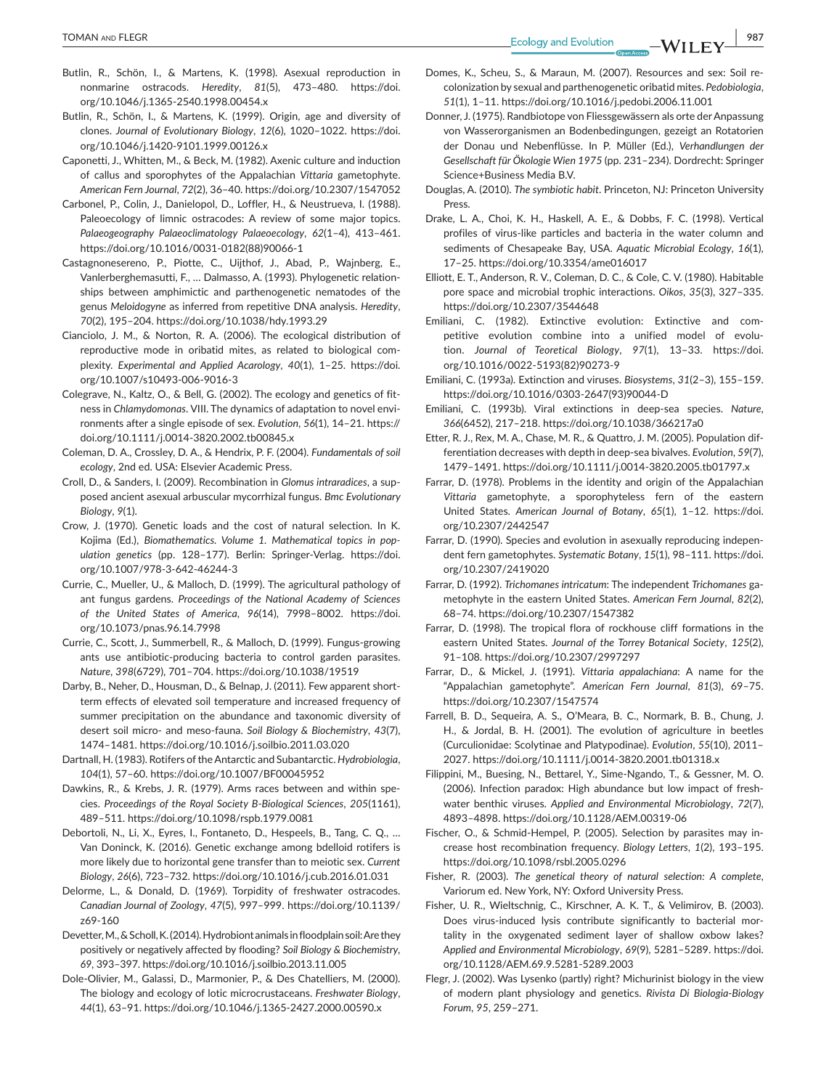- Butlin, R., Schön, I., & Martens, K. (1998). Asexual reproduction in nonmarine ostracods. *Heredity*, *81*(5), 473–480. [https://doi.](https://doi.org/10.1046/j.1365-2540.1998.00454.x) [org/10.1046/j.1365-2540.1998.00454.x](https://doi.org/10.1046/j.1365-2540.1998.00454.x)
- Butlin, R., Schön, I., & Martens, K. (1999). Origin, age and diversity of clones. *Journal of Evolutionary Biology*, *12*(6), 1020–1022. [https://doi.](https://doi.org/10.1046/j.1420-9101.1999.00126.x) [org/10.1046/j.1420-9101.1999.00126.x](https://doi.org/10.1046/j.1420-9101.1999.00126.x)
- Caponetti, J., Whitten, M., & Beck, M. (1982). Axenic culture and induction of callus and sporophytes of the Appalachian *Vittaria* gametophyte. *American Fern Journal*, *72*(2), 36–40. <https://doi.org/10.2307/1547052>
- Carbonel, P., Colin, J., Danielopol, D., Loffler, H., & Neustrueva, I. (1988). Paleoecology of limnic ostracodes: A review of some major topics. *Palaeogeography Palaeoclimatology Palaeoecology*, *62*(1–4), 413–461. [https://doi.org/10.1016/0031-0182\(88\)90066-1](https://doi.org/10.1016/0031-0182(88)90066-1)
- Castagnonesereno, P., Piotte, C., Uijthof, J., Abad, P., Wajnberg, E., Vanlerberghemasutti, F., … Dalmasso, A. (1993). Phylogenetic relationships between amphimictic and parthenogenetic nematodes of the genus *Meloidogyne* as inferred from repetitive DNA analysis. *Heredity*, *70*(2), 195–204. <https://doi.org/10.1038/hdy.1993.29>
- Cianciolo, J. M., & Norton, R. A. (2006). The ecological distribution of reproductive mode in oribatid mites, as related to biological complexity. *Experimental and Applied Acarology*, *40*(1), 1–25. [https://doi.](https://doi.org/10.1007/s10493-006-9016-3) [org/10.1007/s10493-006-9016-3](https://doi.org/10.1007/s10493-006-9016-3)
- Colegrave, N., Kaltz, O., & Bell, G. (2002). The ecology and genetics of fitness in *Chlamydomonas*. VIII. The dynamics of adaptation to novel environments after a single episode of sex. *Evolution*, *56*(1), 14–21. [https://](https://doi.org/10.1111/j.0014-3820.2002.tb00845.x) [doi.org/10.1111/j.0014-3820.2002.tb00845.x](https://doi.org/10.1111/j.0014-3820.2002.tb00845.x)
- Coleman, D. A., Crossley, D. A., & Hendrix, P. F. (2004). *Fundamentals of soil ecology*, 2nd ed. USA: Elsevier Academic Press.
- Croll, D., & Sanders, I. (2009). Recombination in *Glomus intraradices*, a supposed ancient asexual arbuscular mycorrhizal fungus. *Bmc Evolutionary Biology*, *9*(1).
- Crow, J. (1970). Genetic loads and the cost of natural selection. In K. Kojima (Ed.), *Biomathematics. Volume 1. Mathematical topics in population genetics* (pp. 128–177). Berlin: Springer-Verlag. [https://doi.](https://doi.org/10.1007/978-3-642-46244-3) [org/10.1007/978-3-642-46244-3](https://doi.org/10.1007/978-3-642-46244-3)
- Currie, C., Mueller, U., & Malloch, D. (1999). The agricultural pathology of ant fungus gardens. *Proceedings of the National Academy of Sciences of the United States of America*, *96*(14), 7998–8002. [https://doi.](https://doi.org/10.1073/pnas.96.14.7998) [org/10.1073/pnas.96.14.7998](https://doi.org/10.1073/pnas.96.14.7998)
- Currie, C., Scott, J., Summerbell, R., & Malloch, D. (1999). Fungus-growing ants use antibiotic-producing bacteria to control garden parasites. *Nature*, *398*(6729), 701–704. <https://doi.org/10.1038/19519>
- Darby, B., Neher, D., Housman, D., & Belnap, J. (2011). Few apparent shortterm effects of elevated soil temperature and increased frequency of summer precipitation on the abundance and taxonomic diversity of desert soil micro- and meso-fauna. *Soil Biology & Biochemistry*, *43*(7), 1474–1481. <https://doi.org/10.1016/j.soilbio.2011.03.020>
- Dartnall, H. (1983). Rotifers of the Antarctic and Subantarctic. *Hydrobiologia*, *104*(1), 57–60. <https://doi.org/10.1007/BF00045952>
- Dawkins, R., & Krebs, J. R. (1979). Arms races between and within species. *Proceedings of the Royal Society B-Biological Sciences*, *205*(1161), 489–511. <https://doi.org/10.1098/rspb.1979.0081>
- Debortoli, N., Li, X., Eyres, I., Fontaneto, D., Hespeels, B., Tang, C. Q., … Van Doninck, K. (2016). Genetic exchange among bdelloid rotifers is more likely due to horizontal gene transfer than to meiotic sex. *Current Biology*, *26*(6), 723–732. <https://doi.org/10.1016/j.cub.2016.01.031>
- Delorme, L., & Donald, D. (1969). Torpidity of freshwater ostracodes. *Canadian Journal of Zoology*, *47*(5), 997–999. [https://doi.org/10.1139/](https://doi.org/10.1139/z69-160) [z69-160](https://doi.org/10.1139/z69-160)
- Devetter, M., & Scholl, K. (2014). Hydrobiont animals in floodplain soil: Are they positively or negatively affected by flooding? *Soil Biology & Biochemistry*, *69*, 393–397. <https://doi.org/10.1016/j.soilbio.2013.11.005>
- Dole-Olivier, M., Galassi, D., Marmonier, P., & Des Chatelliers, M. (2000). The biology and ecology of lotic microcrustaceans. *Freshwater Biology*, *44*(1), 63–91. <https://doi.org/10.1046/j.1365-2427.2000.00590.x>
- Domes, K., Scheu, S., & Maraun, M. (2007). Resources and sex: Soil recolonization by sexual and parthenogenetic oribatid mites. *Pedobiologia*, *51*(1), 1–11. <https://doi.org/10.1016/j.pedobi.2006.11.001>
- Donner, J. (1975). Randbiotope von Fliessgewässern als orte derAnpassung von Wasserorganismen an Bodenbedingungen, gezeigt an Rotatorien der Donau und Nebenflüsse. In P. Müller (Ed.), *Verhandlungen der Gesellschaft für Ökologie Wien 1975* (pp. 231–234). Dordrecht: Springer Science+Business Media B.V.
- Douglas, A. (2010). *The symbiotic habit*. Princeton, NJ: Princeton University Press.
- Drake, L. A., Choi, K. H., Haskell, A. E., & Dobbs, F. C. (1998). Vertical profiles of virus-like particles and bacteria in the water column and sediments of Chesapeake Bay, USA. *Aquatic Microbial Ecology*, *16*(1), 17–25. <https://doi.org/10.3354/ame016017>
- Elliott, E. T., Anderson, R. V., Coleman, D. C., & Cole, C. V. (1980). Habitable pore space and microbial trophic interactions. *Oikos*, *35*(3), 327–335. <https://doi.org/10.2307/3544648>
- Emiliani, C. (1982). Extinctive evolution: Extinctive and competitive evolution combine into a unified model of evolution. *Journal of Teoretical Biology*, *97*(1), 13–33. [https://doi.](https://doi.org/10.1016/0022-5193(82)90273-9) [org/10.1016/0022-5193\(82\)90273-9](https://doi.org/10.1016/0022-5193(82)90273-9)
- Emiliani, C. (1993a). Extinction and viruses. *Biosystems*, *31*(2–3), 155–159. [https://doi.org/10.1016/0303-2647\(93\)90044-D](https://doi.org/10.1016/0303-2647(93)90044-D)
- Emiliani, C. (1993b). Viral extinctions in deep-sea species. *Nature*, *366*(6452), 217–218. <https://doi.org/10.1038/366217a0>
- Etter, R. J., Rex, M. A., Chase, M. R., & Quattro, J. M. (2005). Population differentiation decreases with depth in deep-sea bivalves. *Evolution*, *59*(7), 1479–1491. <https://doi.org/10.1111/j.0014-3820.2005.tb01797.x>
- Farrar, D. (1978). Problems in the identity and origin of the Appalachian *Vittaria* gametophyte, a sporophyteless fern of the eastern United States. *American Journal of Botany*, *65*(1), 1–12. [https://doi.](https://doi.org/10.2307/2442547) [org/10.2307/2442547](https://doi.org/10.2307/2442547)
- Farrar, D. (1990). Species and evolution in asexually reproducing independent fern gametophytes. *Systematic Botany*, *15*(1), 98–111. [https://doi.](https://doi.org/10.2307/2419020) [org/10.2307/2419020](https://doi.org/10.2307/2419020)
- Farrar, D. (1992). *Trichomanes intricatum*: The independent *Trichomanes* gametophyte in the eastern United States. *American Fern Journal*, *82*(2), 68–74. <https://doi.org/10.2307/1547382>
- Farrar, D. (1998). The tropical flora of rockhouse cliff formations in the eastern United States. *Journal of the Torrey Botanical Society*, *125*(2), 91–108. <https://doi.org/10.2307/2997297>
- Farrar, D., & Mickel, J. (1991). *Vittaria appalachiana*: A name for the "Appalachian gametophyte". *American Fern Journal*, *81*(3), 69–75. <https://doi.org/10.2307/1547574>
- Farrell, B. D., Sequeira, A. S., O'Meara, B. C., Normark, B. B., Chung, J. H., & Jordal, B. H. (2001). The evolution of agriculture in beetles (Curculionidae: Scolytinae and Platypodinae). *Evolution*, *55*(10), 2011– 2027. <https://doi.org/10.1111/j.0014-3820.2001.tb01318.x>
- Filippini, M., Buesing, N., Bettarel, Y., Sime-Ngando, T., & Gessner, M. O. (2006). Infection paradox: High abundance but low impact of freshwater benthic viruses. *Applied and Environmental Microbiology*, *72*(7), 4893–4898. <https://doi.org/10.1128/AEM.00319-06>
- Fischer, O., & Schmid-Hempel, P. (2005). Selection by parasites may increase host recombination frequency. *Biology Letters*, *1*(2), 193–195. <https://doi.org/10.1098/rsbl.2005.0296>
- Fisher, R. (2003). *The genetical theory of natural selection: A complete*, Variorum ed. New York, NY: Oxford University Press.
- Fisher, U. R., Wieltschnig, C., Kirschner, A. K. T., & Velimirov, B. (2003). Does virus-induced lysis contribute significantly to bacterial mortality in the oxygenated sediment layer of shallow oxbow lakes? *Applied and Environmental Microbiology*, *69*(9), 5281–5289. [https://doi.](https://doi.org/10.1128/AEM.69.9.5281-5289.2003) [org/10.1128/AEM.69.9.5281-5289.2003](https://doi.org/10.1128/AEM.69.9.5281-5289.2003)
- Flegr, J. (2002). Was Lysenko (partly) right? Michurinist biology in the view of modern plant physiology and genetics. *Rivista Di Biologia-Biology Forum*, *95*, 259–271.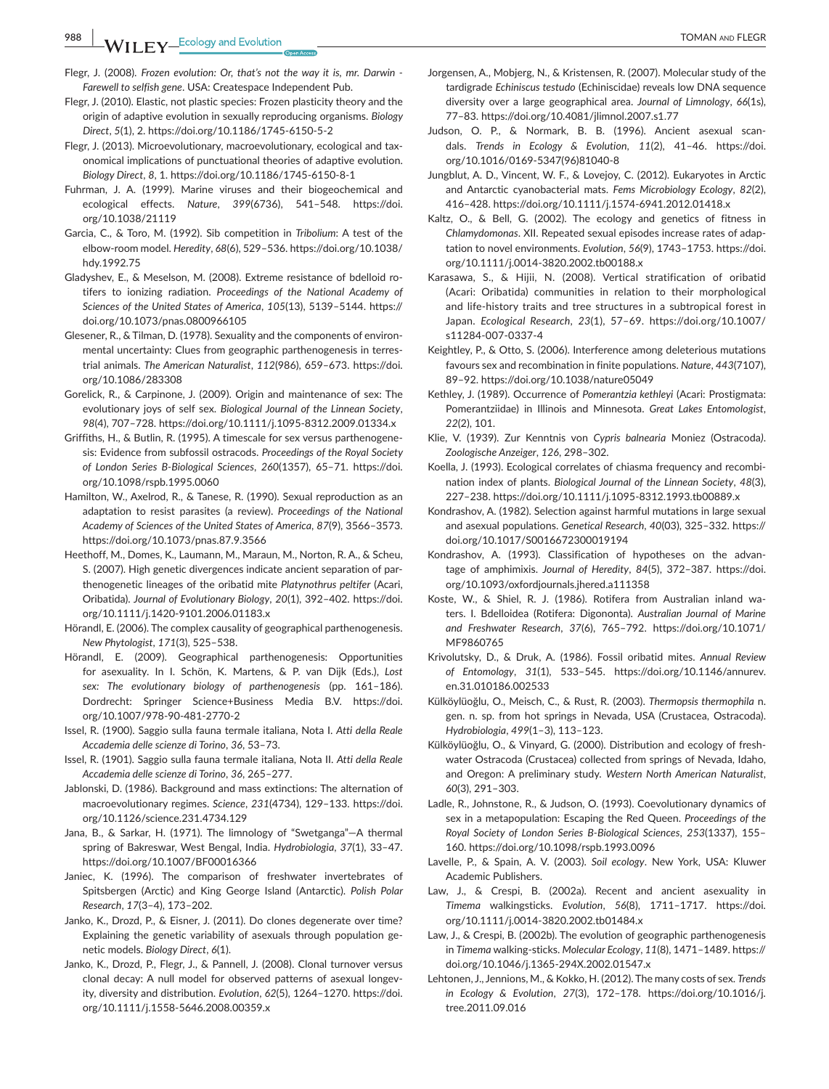**988 WILEY**—Ecology and Evolution <u>Construction and TOMAN and FLEGR</u>

- Flegr, J. (2008). *Frozen evolution: Or, that's not the way it is, mr. Darwin Farewell to selfish gene*. USA: Createspace Independent Pub.
- Flegr, J. (2010). Elastic, not plastic species: Frozen plasticity theory and the origin of adaptive evolution in sexually reproducing organisms. *Biology Direct*, *5*(1), 2. <https://doi.org/10.1186/1745-6150-5-2>
- Flegr, J. (2013). Microevolutionary, macroevolutionary, ecological and taxonomical implications of punctuational theories of adaptive evolution. *Biology Direct*, *8*, 1. <https://doi.org/10.1186/1745-6150-8-1>
- Fuhrman, J. A. (1999). Marine viruses and their biogeochemical and ecological effects. *Nature*, *399*(6736), 541–548. [https://doi.](https://doi.org/10.1038/21119) [org/10.1038/21119](https://doi.org/10.1038/21119)
- Garcia, C., & Toro, M. (1992). Sib competition in *Tribolium*: A test of the elbow-room model. *Heredity*, *68*(6), 529–536. [https://doi.org/10.1038/](https://doi.org/10.1038/hdy.1992.75) [hdy.1992.75](https://doi.org/10.1038/hdy.1992.75)
- Gladyshev, E., & Meselson, M. (2008). Extreme resistance of bdelloid rotifers to ionizing radiation. *Proceedings of the National Academy of Sciences of the United States of America*, *105*(13), 5139–5144. [https://](https://doi.org/10.1073/pnas.0800966105) [doi.org/10.1073/pnas.0800966105](https://doi.org/10.1073/pnas.0800966105)
- Glesener, R., & Tilman, D. (1978). Sexuality and the components of environmental uncertainty: Clues from geographic parthenogenesis in terrestrial animals. *The American Naturalist*, *112*(986), 659–673. [https://doi.](https://doi.org/10.1086/283308) [org/10.1086/283308](https://doi.org/10.1086/283308)
- Gorelick, R., & Carpinone, J. (2009). Origin and maintenance of sex: The evolutionary joys of self sex. *Biological Journal of the Linnean Society*, *98*(4), 707–728. <https://doi.org/10.1111/j.1095-8312.2009.01334.x>
- Griffiths, H., & Butlin, R. (1995). A timescale for sex versus parthenogenesis: Evidence from subfossil ostracods. *Proceedings of the Royal Society of London Series B-Biological Sciences*, *260*(1357), 65–71. [https://doi.](https://doi.org/10.1098/rspb.1995.0060) [org/10.1098/rspb.1995.0060](https://doi.org/10.1098/rspb.1995.0060)
- Hamilton, W., Axelrod, R., & Tanese, R. (1990). Sexual reproduction as an adaptation to resist parasites (a review). *Proceedings of the National Academy of Sciences of the United States of America*, *87*(9), 3566–3573. <https://doi.org/10.1073/pnas.87.9.3566>
- Heethoff, M., Domes, K., Laumann, M., Maraun, M., Norton, R. A., & Scheu, S. (2007). High genetic divergences indicate ancient separation of parthenogenetic lineages of the oribatid mite *Platynothrus peltifer* (Acari, Oribatida). *Journal of Evolutionary Biology*, *20*(1), 392–402. [https://doi.](https://doi.org/10.1111/j.1420-9101.2006.01183.x) [org/10.1111/j.1420-9101.2006.01183.x](https://doi.org/10.1111/j.1420-9101.2006.01183.x)
- Hörandl, E. (2006). The complex causality of geographical parthenogenesis. *New Phytologist*, *171*(3), 525–538.
- Hörandl, E. (2009). Geographical parthenogenesis: Opportunities for asexuality. In I. Schön, K. Martens, & P. van Dijk (Eds.), *Lost sex: The evolutionary biology of parthenogenesis* (pp. 161–186). Dordrecht: Springer Science+Business Media B.V. [https://doi.](https://doi.org/10.1007/978-90-481-2770-2) [org/10.1007/978-90-481-2770-2](https://doi.org/10.1007/978-90-481-2770-2)
- Issel, R. (1900). Saggio sulla fauna termale italiana, Nota I. *Atti della Reale Accademia delle scienze di Torino*, *36*, 53–73.
- Issel, R. (1901). Saggio sulla fauna termale italiana, Nota II. *Atti della Reale Accademia delle scienze di Torino*, *36*, 265–277.
- Jablonski, D. (1986). Background and mass extinctions: The alternation of macroevolutionary regimes. *Science*, *231*(4734), 129–133. [https://doi.](https://doi.org/10.1126/science.231.4734.129) [org/10.1126/science.231.4734.129](https://doi.org/10.1126/science.231.4734.129)
- Jana, B., & Sarkar, H. (1971). The limnology of "Swetganga"—A thermal spring of Bakreswar, West Bengal, India. *Hydrobiologia*, *37*(1), 33–47. <https://doi.org/10.1007/BF00016366>
- Janiec, K. (1996). The comparison of freshwater invertebrates of Spitsbergen (Arctic) and King George Island (Antarctic). *Polish Polar Research*, *17*(3–4), 173–202.
- Janko, K., Drozd, P., & Eisner, J. (2011). Do clones degenerate over time? Explaining the genetic variability of asexuals through population genetic models. *Biology Direct*, *6*(1).
- Janko, K., Drozd, P., Flegr, J., & Pannell, J. (2008). Clonal turnover versus clonal decay: A null model for observed patterns of asexual longevity, diversity and distribution. *Evolution*, *62*(5), 1264–1270. [https://doi.](https://doi.org/10.1111/j.1558-5646.2008.00359.x) [org/10.1111/j.1558-5646.2008.00359.x](https://doi.org/10.1111/j.1558-5646.2008.00359.x)
- Jorgensen, A., Mobjerg, N., & Kristensen, R. (2007). Molecular study of the tardigrade *Echiniscus testudo* (Echiniscidae) reveals low DNA sequence diversity over a large geographical area. *Journal of Limnology*, *66*(1s), 77–83. <https://doi.org/10.4081/jlimnol.2007.s1.77>
- Judson, O. P., & Normark, B. B. (1996). Ancient asexual scandals. *Trends in Ecology & Evolution*, *11*(2), 41–46. [https://doi.](https://doi.org/10.1016/0169-5347(96)81040-8) [org/10.1016/0169-5347\(96\)81040-8](https://doi.org/10.1016/0169-5347(96)81040-8)
- Jungblut, A. D., Vincent, W. F., & Lovejoy, C. (2012). Eukaryotes in Arctic and Antarctic cyanobacterial mats. *Fems Microbiology Ecology*, *82*(2), 416–428. <https://doi.org/10.1111/j.1574-6941.2012.01418.x>
- Kaltz, O., & Bell, G. (2002). The ecology and genetics of fitness in *Chlamydomonas*. XII. Repeated sexual episodes increase rates of adaptation to novel environments. *Evolution*, *56*(9), 1743–1753. [https://doi.](https://doi.org/10.1111/j.0014-3820.2002.tb00188.x) [org/10.1111/j.0014-3820.2002.tb00188.x](https://doi.org/10.1111/j.0014-3820.2002.tb00188.x)
- Karasawa, S., & Hijii, N. (2008). Vertical stratification of oribatid (Acari: Oribatida) communities in relation to their morphological and life-history traits and tree structures in a subtropical forest in Japan. *Ecological Research*, *23*(1), 57–69. [https://doi.org/10.1007/](https://doi.org/10.1007/s11284-007-0337-4) [s11284-007-0337-4](https://doi.org/10.1007/s11284-007-0337-4)
- Keightley, P., & Otto, S. (2006). Interference among deleterious mutations favours sex and recombination in finite populations. *Nature*, *443*(7107), 89–92. <https://doi.org/10.1038/nature05049>
- Kethley, J. (1989). Occurrence of *Pomerantzia kethleyi* (Acari: Prostigmata: Pomerantziidae) in Illinois and Minnesota. *Great Lakes Entomologist*, *22*(2), 101.
- Klie, V. (1939). Zur Kenntnis von *Cypris balnearia* Moniez (Ostracoda*)*. *Zoologische Anzeiger*, *126*, 298–302.
- Koella, J. (1993). Ecological correlates of chiasma frequency and recombination index of plants. *Biological Journal of the Linnean Society*, *48*(3), 227–238. <https://doi.org/10.1111/j.1095-8312.1993.tb00889.x>
- Kondrashov, A. (1982). Selection against harmful mutations in large sexual and asexual populations. *Genetical Research*, *40*(03), 325–332. [https://](https://doi.org/10.1017/S0016672300019194) [doi.org/10.1017/S0016672300019194](https://doi.org/10.1017/S0016672300019194)
- Kondrashov, A. (1993). Classification of hypotheses on the advantage of amphimixis. *Journal of Heredity*, *84*(5), 372–387. [https://doi.](https://doi.org/10.1093/oxfordjournals.jhered.a111358) [org/10.1093/oxfordjournals.jhered.a111358](https://doi.org/10.1093/oxfordjournals.jhered.a111358)
- Koste, W., & Shiel, R. J. (1986). Rotifera from Australian inland waters. I. Bdelloidea (Rotifera: Digononta). *Australian Journal of Marine and Freshwater Research*, *37*(6), 765–792. [https://doi.org/10.1071/](https://doi.org/10.1071/MF9860765) [MF9860765](https://doi.org/10.1071/MF9860765)
- Krivolutsky, D., & Druk, A. (1986). Fossil oribatid mites. *Annual Review of Entomology*, *31*(1), 533–545. [https://doi.org/10.1146/annurev.](https://doi.org/10.1146/annurev.en.31.010186.002533) [en.31.010186.002533](https://doi.org/10.1146/annurev.en.31.010186.002533)
- Külköylüoğlu, O., Meisch, C., & Rust, R. (2003). *Thermopsis thermophila* n. gen. n. sp. from hot springs in Nevada, USA (Crustacea, Ostracoda). *Hydrobiologia*, *499*(1–3), 113–123.
- Külköylüoğlu, O., & Vinyard, G. (2000). Distribution and ecology of freshwater Ostracoda (Crustacea) collected from springs of Nevada, Idaho, and Oregon: A preliminary study. *Western North American Naturalist*, *60*(3), 291–303.
- Ladle, R., Johnstone, R., & Judson, O. (1993). Coevolutionary dynamics of sex in a metapopulation: Escaping the Red Queen. *Proceedings of the Royal Society of London Series B-Biological Sciences*, *253*(1337), 155– 160. <https://doi.org/10.1098/rspb.1993.0096>
- Lavelle, P., & Spain, A. V. (2003). *Soil ecology*. New York, USA: Kluwer Academic Publishers.
- Law, J., & Crespi, B. (2002a). Recent and ancient asexuality in *Timema* walkingsticks. *Evolution*, *56*(8), 1711–1717. [https://doi.](https://doi.org/10.1111/j.0014-3820.2002.tb01484.x) [org/10.1111/j.0014-3820.2002.tb01484.x](https://doi.org/10.1111/j.0014-3820.2002.tb01484.x)
- Law, J., & Crespi, B. (2002b). The evolution of geographic parthenogenesis in *Timema* walking-sticks. *Molecular Ecology*, *11*(8), 1471–1489. [https://](https://doi.org/10.1046/j.1365-294X.2002.01547.x) [doi.org/10.1046/j.1365-294X.2002.01547.x](https://doi.org/10.1046/j.1365-294X.2002.01547.x)
- Lehtonen, J., Jennions, M., & Kokko, H. (2012). The many costs of sex. *Trends in Ecology & Evolution*, *27*(3), 172–178. [https://doi.org/10.1016/j.](https://doi.org/10.1016/j.tree.2011.09.016) [tree.2011.09.016](https://doi.org/10.1016/j.tree.2011.09.016)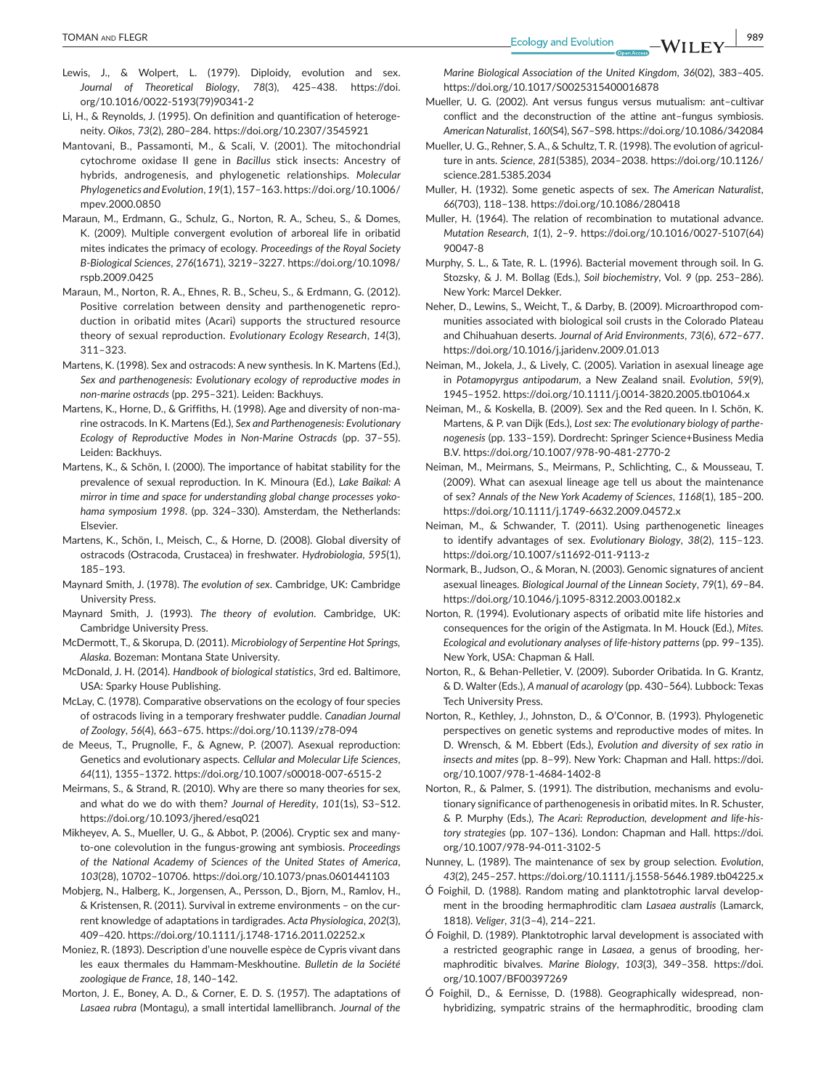- Lewis, J., & Wolpert, L. (1979). Diploidy, evolution and sex. *Journal of Theoretical Biology*, *78*(3), 425–438. [https://doi.](https://doi.org/10.1016/0022-5193(79)90341-2) [org/10.1016/0022-5193\(79\)90341-2](https://doi.org/10.1016/0022-5193(79)90341-2)
- Li, H., & Reynolds, J. (1995). On definition and quantification of heterogeneity. *Oikos*, *73*(2), 280–284. <https://doi.org/10.2307/3545921>
- Mantovani, B., Passamonti, M., & Scali, V. (2001). The mitochondrial cytochrome oxidase II gene in *Bacillus* stick insects: Ancestry of hybrids, androgenesis, and phylogenetic relationships. *Molecular Phylogenetics and Evolution*, *19*(1), 157–163. [https://doi.org/10.1006/](https://doi.org/10.1006/mpev.2000.0850) [mpev.2000.0850](https://doi.org/10.1006/mpev.2000.0850)
- Maraun, M., Erdmann, G., Schulz, G., Norton, R. A., Scheu, S., & Domes, K. (2009). Multiple convergent evolution of arboreal life in oribatid mites indicates the primacy of ecology. *Proceedings of the Royal Society B-Biological Sciences*, *276*(1671), 3219–3227. [https://doi.org/10.1098/](https://doi.org/10.1098/rspb.2009.0425) [rspb.2009.0425](https://doi.org/10.1098/rspb.2009.0425)
- Maraun, M., Norton, R. A., Ehnes, R. B., Scheu, S., & Erdmann, G. (2012). Positive correlation between density and parthenogenetic reproduction in oribatid mites (Acari) supports the structured resource theory of sexual reproduction. *Evolutionary Ecology Research*, *14*(3), 311–323.
- Martens, K. (1998). Sex and ostracods: A new synthesis. In K. Martens (Ed.), *Sex and parthenogenesis: Evolutionary ecology of reproductive modes in non-marine ostracds* (pp. 295–321). Leiden: Backhuys.
- Martens, K., Horne, D., & Griffiths, H. (1998). Age and diversity of non-marine ostracods. In K. Martens (Ed.), *Sex and Parthenogenesis: Evolutionary Ecology of Reproductive Modes in Non-Marine Ostracds* (pp. 37–55). Leiden: Backhuys.
- Martens, K., & Schön, I. (2000). The importance of habitat stability for the prevalence of sexual reproduction. In K. Minoura (Ed.), *Lake Baikal: A mirror in time and space for understanding global change processes yokohama symposium 1998*. (pp. 324–330). Amsterdam, the Netherlands: Elsevier.
- Martens, K., Schön, I., Meisch, C., & Horne, D. (2008). Global diversity of ostracods (Ostracoda, Crustacea) in freshwater. *Hydrobiologia*, *595*(1), 185–193.
- Maynard Smith, J. (1978). *The evolution of sex*. Cambridge, UK: Cambridge University Press.
- Maynard Smith, J. (1993). *The theory of evolution*. Cambridge, UK: Cambridge University Press.
- McDermott, T., & Skorupa, D. (2011). *Microbiology of Serpentine Hot Springs, Alaska*. Bozeman: Montana State University.
- McDonald, J. H. (2014). *Handbook of biological statistics*, 3rd ed. Baltimore, USA: Sparky House Publishing.
- McLay, C. (1978). Comparative observations on the ecology of four species of ostracods living in a temporary freshwater puddle. *Canadian Journal of Zoology*, *56*(4), 663–675. <https://doi.org/10.1139/z78-094>
- de Meeus, T., Prugnolle, F., & Agnew, P. (2007). Asexual reproduction: Genetics and evolutionary aspects. *Cellular and Molecular Life Sciences*, *64*(11), 1355–1372. <https://doi.org/10.1007/s00018-007-6515-2>
- Meirmans, S., & Strand, R. (2010). Why are there so many theories for sex, and what do we do with them? *Journal of Heredity*, *101*(1s), S3–S12. <https://doi.org/10.1093/jhered/esq021>
- Mikheyev, A. S., Mueller, U. G., & Abbot, P. (2006). Cryptic sex and manyto-one colevolution in the fungus-growing ant symbiosis. *Proceedings of the National Academy of Sciences of the United States of America*, *103*(28), 10702–10706. <https://doi.org/10.1073/pnas.0601441103>
- Mobjerg, N., Halberg, K., Jorgensen, A., Persson, D., Bjorn, M., Ramlov, H., & Kristensen, R. (2011). Survival in extreme environments – on the current knowledge of adaptations in tardigrades. *Acta Physiologica*, *202*(3), 409–420. <https://doi.org/10.1111/j.1748-1716.2011.02252.x>
- Moniez, R. (1893). Description d'une nouvelle espèce de Cypris vivant dans les eaux thermales du Hammam-Meskhoutine. *Bulletin de la Société zoologique de France*, *18*, 140–142.
- Morton, J. E., Boney, A. D., & Corner, E. D. S. (1957). The adaptations of *Lasaea rubra* (Montagu), a small intertidal lamellibranch. *Journal of the*

*Marine Biological Association of the United Kingdom*, *36*(02), 383–405. <https://doi.org/10.1017/S0025315400016878>

- Mueller, U. G. (2002). Ant versus fungus versus mutualism: ant–cultivar conflict and the deconstruction of the attine ant–fungus symbiosis. *American Naturalist*, *160*(S4), S67–S98. <https://doi.org/10.1086/342084>
- Mueller, U. G., Rehner, S.A., & Schultz, T. R. (1998). The evolution of agriculture in ants. *Science*, *281*(5385), 2034–2038. [https://doi.org/10.1126/](https://doi.org/10.1126/science.281.5385.2034) [science.281.5385.2034](https://doi.org/10.1126/science.281.5385.2034)
- Muller, H. (1932). Some genetic aspects of sex. *The American Naturalist*, *66*(703), 118–138. <https://doi.org/10.1086/280418>
- Muller, H. (1964). The relation of recombination to mutational advance. *Mutation Research*, *1*(1), 2–9. [https://doi.org/10.1016/0027-5107\(64\)](https://doi.org/10.1016/0027-5107(64)90047-8) [90047-8](https://doi.org/10.1016/0027-5107(64)90047-8)
- Murphy, S. L., & Tate, R. L. (1996). Bacterial movement through soil. In G. Stozsky, & J. M. Bollag (Eds.), *Soil biochemistry*, Vol. *9* (pp. 253–286). New York: Marcel Dekker.
- Neher, D., Lewins, S., Weicht, T., & Darby, B. (2009). Microarthropod communities associated with biological soil crusts in the Colorado Plateau and Chihuahuan deserts. *Journal of Arid Environments*, *73*(6), 672–677. <https://doi.org/10.1016/j.jaridenv.2009.01.013>
- Neiman, M., Jokela, J., & Lively, C. (2005). Variation in asexual lineage age in *Potamopyrgus antipodarum*, a New Zealand snail. *Evolution*, *59*(9), 1945–1952. <https://doi.org/10.1111/j.0014-3820.2005.tb01064.x>
- Neiman, M., & Koskella, B. (2009). Sex and the Red queen. In I. Schön, K. Martens, & P. van Dijk (Eds.), *Lost sex: The evolutionary biology of parthenogenesis* (pp. 133–159). Dordrecht: Springer Science+Business Media B.V. <https://doi.org/10.1007/978-90-481-2770-2>
- Neiman, M., Meirmans, S., Meirmans, P., Schlichting, C., & Mousseau, T. (2009). What can asexual lineage age tell us about the maintenance of sex? *Annals of the New York Academy of Sciences*, *1168*(1), 185–200. <https://doi.org/10.1111/j.1749-6632.2009.04572.x>
- Neiman, M., & Schwander, T. (2011). Using parthenogenetic lineages to identify advantages of sex. *Evolutionary Biology*, *38*(2), 115–123. <https://doi.org/10.1007/s11692-011-9113-z>
- Normark, B., Judson, O., & Moran, N. (2003). Genomic signatures of ancient asexual lineages. *Biological Journal of the Linnean Society*, *79*(1), 69–84. <https://doi.org/10.1046/j.1095-8312.2003.00182.x>
- Norton, R. (1994). Evolutionary aspects of oribatid mite life histories and consequences for the origin of the Astigmata. In M. Houck (Ed.), *Mites. Ecological and evolutionary analyses of life-history patterns* (pp. 99–135). New York, USA: Chapman & Hall.
- Norton, R., & Behan-Pelletier, V. (2009). Suborder Oribatida. In G. Krantz, & D. Walter (Eds.), *A manual of acarology* (pp. 430–564). Lubbock: Texas Tech University Press.
- Norton, R., Kethley, J., Johnston, D., & O'Connor, B. (1993). Phylogenetic perspectives on genetic systems and reproductive modes of mites. In D. Wrensch, & M. Ebbert (Eds.), *Evolution and diversity of sex ratio in insects and mites* (pp. 8–99). New York: Chapman and Hall. [https://doi.](https://doi.org/10.1007/978-1-4684-1402-8) [org/10.1007/978-1-4684-1402-8](https://doi.org/10.1007/978-1-4684-1402-8)
- Norton, R., & Palmer, S. (1991). The distribution, mechanisms and evolutionary significance of parthenogenesis in oribatid mites. In R. Schuster, & P. Murphy (Eds.), *The Acari: Reproduction, development and life-history strategies* (pp. 107–136). London: Chapman and Hall. [https://doi.](https://doi.org/10.1007/978-94-011-3102-5) [org/10.1007/978-94-011-3102-5](https://doi.org/10.1007/978-94-011-3102-5)
- Nunney, L. (1989). The maintenance of sex by group selection. *Evolution*, *43*(2), 245–257. <https://doi.org/10.1111/j.1558-5646.1989.tb04225.x>
- Ó Foighil, D. (1988). Random mating and planktotrophic larval development in the brooding hermaphroditic clam *Lasaea australis* (Lamarck, 1818). *Veliger*, *31*(3–4), 214–221.
- Ó Foighil, D. (1989). Planktotrophic larval development is associated with a restricted geographic range in *Lasaea*, a genus of brooding, hermaphroditic bivalves. *Marine Biology*, *103*(3), 349–358. [https://doi.](https://doi.org/10.1007/BF00397269) [org/10.1007/BF00397269](https://doi.org/10.1007/BF00397269)
- Ó Foighil, D., & Eernisse, D. (1988). Geographically widespread, nonhybridizing, sympatric strains of the hermaphroditic, brooding clam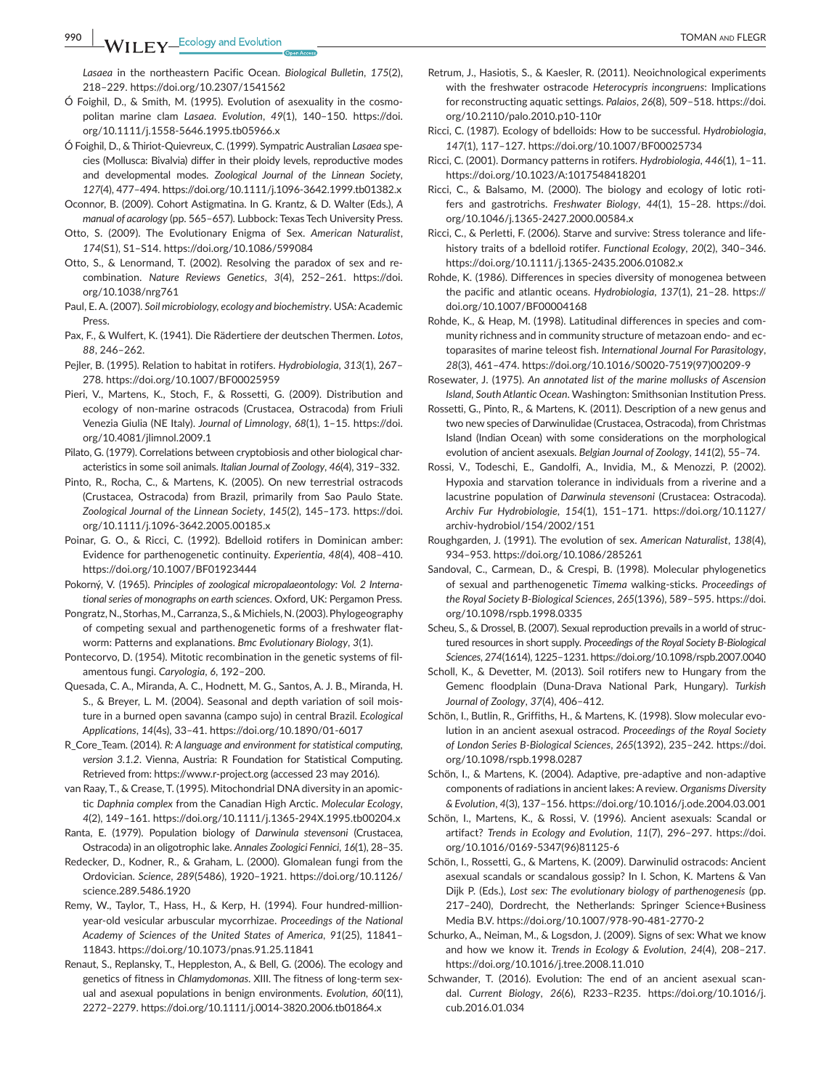**990 WII FY** Ecology and Evolution **and Example 2008 COMAN AND FLEGR** 

*Lasaea* in the northeastern Pacific Ocean. *Biological Bulletin*, *175*(2), 218–229. <https://doi.org/10.2307/1541562>

- Ó Foighil, D., & Smith, M. (1995). Evolution of asexuality in the cosmopolitan marine clam *Lasaea*. *Evolution*, *49*(1), 140–150. [https://doi.](https://doi.org/10.1111/j.1558-5646.1995.tb05966.x) [org/10.1111/j.1558-5646.1995.tb05966.x](https://doi.org/10.1111/j.1558-5646.1995.tb05966.x)
- Ó Foighil, D., & Thiriot-Quievreux, C. (1999). SympatricAustralian *Lasaea* species (Mollusca: Bivalvia) differ in their ploidy levels, reproductive modes and developmental modes. *Zoological Journal of the Linnean Society*, *127*(4), 477–494. <https://doi.org/10.1111/j.1096-3642.1999.tb01382.x>
- Oconnor, B. (2009). Cohort Astigmatina. In G. Krantz, & D. Walter (Eds.), *A manual of acarology* (pp. 565–657). Lubbock: Texas Tech University Press.
- Otto, S. (2009). The Evolutionary Enigma of Sex. *American Naturalist*, *174*(S1), S1–S14. <https://doi.org/10.1086/599084>
- Otto, S., & Lenormand, T. (2002). Resolving the paradox of sex and recombination. *Nature Reviews Genetics*, *3*(4), 252–261. [https://doi.](https://doi.org/10.1038/nrg761) [org/10.1038/nrg761](https://doi.org/10.1038/nrg761)
- Paul, E. A. (2007). Soil microbiology, ecology and biochemistry. USA: Academic Press.
- Pax, F., & Wulfert, K. (1941). Die Rädertiere der deutschen Thermen. *Lotos*, *88*, 246–262.
- Pejler, B. (1995). Relation to habitat in rotifers. *Hydrobiologia*, *313*(1), 267– 278. <https://doi.org/10.1007/BF00025959>
- Pieri, V., Martens, K., Stoch, F., & Rossetti, G. (2009). Distribution and ecology of non-marine ostracods (Crustacea, Ostracoda) from Friuli Venezia Giulia (NE Italy). *Journal of Limnology*, *68*(1), 1–15. [https://doi.](https://doi.org/10.4081/jlimnol.2009.1) [org/10.4081/jlimnol.2009.1](https://doi.org/10.4081/jlimnol.2009.1)
- Pilato, G. (1979). Correlations between cryptobiosis and other biological characteristics in some soil animals. *Italian Journal of Zoology*, *46*(4), 319–332.
- Pinto, R., Rocha, C., & Martens, K. (2005). On new terrestrial ostracods (Crustacea, Ostracoda) from Brazil, primarily from Sao Paulo State. *Zoological Journal of the Linnean Society*, *145*(2), 145–173. [https://doi.](https://doi.org/10.1111/j.1096-3642.2005.00185.x) [org/10.1111/j.1096-3642.2005.00185.x](https://doi.org/10.1111/j.1096-3642.2005.00185.x)
- Poinar, G. O., & Ricci, C. (1992). Bdelloid rotifers in Dominican amber: Evidence for parthenogenetic continuity. *Experientia*, *48*(4), 408–410. <https://doi.org/10.1007/BF01923444>
- Pokorný, V. (1965). *Principles of zoological micropalaeontology: Vol. 2 International series of monographs on earth sciences*. Oxford, UK: Pergamon Press.
- Pongratz, N., Storhas, M., Carranza, S., & Michiels, N. (2003). Phylogeography of competing sexual and parthenogenetic forms of a freshwater flatworm: Patterns and explanations. *Bmc Evolutionary Biology*, *3*(1).
- Pontecorvo, D. (1954). Mitotic recombination in the genetic systems of filamentous fungi. *Caryologia*, *6*, 192–200.
- Quesada, C. A., Miranda, A. C., Hodnett, M. G., Santos, A. J. B., Miranda, H. S., & Breyer, L. M. (2004). Seasonal and depth variation of soil moisture in a burned open savanna (campo sujo) in central Brazil. *Ecological Applications*, *14*(4s), 33–41. <https://doi.org/10.1890/01-6017>
- R\_Core\_Team. (2014). *R: A language and environment for statistical computing, version 3.1.2*. Vienna, Austria: R Foundation for Statistical Computing. Retrieved from: <https://www.r-project.org> (accessed 23 may 2016).
- van Raay, T., & Crease, T. (1995). Mitochondrial DNAdiversity in an apomictic *Daphnia complex* from the Canadian High Arctic. *Molecular Ecology*, *4*(2), 149–161. <https://doi.org/10.1111/j.1365-294X.1995.tb00204.x>
- Ranta, E. (1979). Population biology of *Darwinula stevensoni* (Crustacea, Ostracoda) in an oligotrophic lake. *Annales Zoologici Fennici*, *16*(1), 28–35.
- Redecker, D., Kodner, R., & Graham, L. (2000). Glomalean fungi from the Ordovician. *Science*, *289*(5486), 1920–1921. [https://doi.org/10.1126/](https://doi.org/10.1126/science.289.5486.1920) [science.289.5486.1920](https://doi.org/10.1126/science.289.5486.1920)
- Remy, W., Taylor, T., Hass, H., & Kerp, H. (1994). Four hundred-millionyear-old vesicular arbuscular mycorrhizae. *Proceedings of the National Academy of Sciences of the United States of America*, *91*(25), 11841– 11843. <https://doi.org/10.1073/pnas.91.25.11841>
- Renaut, S., Replansky, T., Heppleston, A., & Bell, G. (2006). The ecology and genetics of fitness in *Chlamydomonas*. XIII. The fitness of long-term sexual and asexual populations in benign environments. *Evolution*, *60*(11), 2272–2279. <https://doi.org/10.1111/j.0014-3820.2006.tb01864.x>
- Retrum, J., Hasiotis, S., & Kaesler, R. (2011). Neoichnological experiments with the freshwater ostracode *Heterocypris incongruens*: Implications for reconstructing aquatic settings. *Palaios*, *26*(8), 509–518. [https://doi.](https://doi.org/10.2110/palo.2010.p10-110r) [org/10.2110/palo.2010.p10-110r](https://doi.org/10.2110/palo.2010.p10-110r)
- Ricci, C. (1987). Ecology of bdelloids: How to be successful. *Hydrobiologia*, *147*(1), 117–127. <https://doi.org/10.1007/BF00025734>
- Ricci, C. (2001). Dormancy patterns in rotifers. *Hydrobiologia*, *446*(1), 1–11. <https://doi.org/10.1023/A:1017548418201>
- Ricci, C., & Balsamo, M. (2000). The biology and ecology of lotic rotifers and gastrotrichs. *Freshwater Biology*, *44*(1), 15–28. [https://doi.](https://doi.org/10.1046/j.1365-2427.2000.00584.x) [org/10.1046/j.1365-2427.2000.00584.x](https://doi.org/10.1046/j.1365-2427.2000.00584.x)
- Ricci, C., & Perletti, F. (2006). Starve and survive: Stress tolerance and lifehistory traits of a bdelloid rotifer. *Functional Ecology*, *20*(2), 340–346. <https://doi.org/10.1111/j.1365-2435.2006.01082.x>
- Rohde, K. (1986). Differences in species diversity of monogenea between the pacific and atlantic oceans. *Hydrobiologia*, *137*(1), 21–28. [https://](https://doi.org/10.1007/BF00004168) [doi.org/10.1007/BF00004168](https://doi.org/10.1007/BF00004168)
- Rohde, K., & Heap, M. (1998). Latitudinal differences in species and community richness and in community structure of metazoan endo- and ectoparasites of marine teleost fish. *International Journal For Parasitology*, *28*(3), 461–474. [https://doi.org/10.1016/S0020-7519\(97\)00209-9](https://doi.org/10.1016/S0020-7519(97)00209-9)
- Rosewater, J. (1975). *An annotated list of the marine mollusks of Ascension Island, South Atlantic Ocean*. Washington: Smithsonian Institution Press.
- Rossetti, G., Pinto, R., & Martens, K. (2011). Description of a new genus and two new species of Darwinulidae (Crustacea, Ostracoda), from Christmas Island (Indian Ocean) with some considerations on the morphological evolution of ancient asexuals. *Belgian Journal of Zoology*, *141*(2), 55–74.
- Rossi, V., Todeschi, E., Gandolfi, A., Invidia, M., & Menozzi, P. (2002). Hypoxia and starvation tolerance in individuals from a riverine and a lacustrine population of *Darwinula stevensoni* (Crustacea: Ostracoda). *Archiv Fur Hydrobiologie*, *154*(1), 151–171. [https://doi.org/10.1127/](https://doi.org/10.1127/archiv-hydrobiol/154/2002/151) [archiv-hydrobiol/154/2002/151](https://doi.org/10.1127/archiv-hydrobiol/154/2002/151)
- Roughgarden, J. (1991). The evolution of sex. *American Naturalist*, *138*(4), 934–953. <https://doi.org/10.1086/285261>
- Sandoval, C., Carmean, D., & Crespi, B. (1998). Molecular phylogenetics of sexual and parthenogenetic *Timema* walking-sticks. *Proceedings of the Royal Society B-Biological Sciences*, *265*(1396), 589–595. [https://doi.](https://doi.org/10.1098/rspb.1998.0335) [org/10.1098/rspb.1998.0335](https://doi.org/10.1098/rspb.1998.0335)
- Scheu, S., & Drossel, B. (2007). Sexual reproduction prevails in a world of structured resources in short supply. *Proceedings of the Royal Society B-Biological Sciences*, *274*(1614), 1225–1231. <https://doi.org/10.1098/rspb.2007.0040>
- Scholl, K., & Devetter, M. (2013). Soil rotifers new to Hungary from the Gemenc floodplain (Duna-Drava National Park, Hungary). *Turkish Journal of Zoology*, *37*(4), 406–412.
- Schön, I., Butlin, R., Griffiths, H., & Martens, K. (1998). Slow molecular evolution in an ancient asexual ostracod. *Proceedings of the Royal Society of London Series B-Biological Sciences*, *265*(1392), 235–242. [https://doi.](https://doi.org/10.1098/rspb.1998.0287) [org/10.1098/rspb.1998.0287](https://doi.org/10.1098/rspb.1998.0287)
- Schön, I., & Martens, K. (2004). Adaptive, pre-adaptive and non-adaptive components of radiations in ancient lakes: A review. *Organisms Diversity & Evolution*, *4*(3), 137–156. <https://doi.org/10.1016/j.ode.2004.03.001>
- Schön, I., Martens, K., & Rossi, V. (1996). Ancient asexuals: Scandal or artifact? *Trends in Ecology and Evolution*, *11*(7), 296–297. [https://doi.](https://doi.org/10.1016/0169-5347(96)81125-6) [org/10.1016/0169-5347\(96\)81125-6](https://doi.org/10.1016/0169-5347(96)81125-6)
- Schön, I., Rossetti, G., & Martens, K. (2009). Darwinulid ostracods: Ancient asexual scandals or scandalous gossip? In I. Schon, K. Martens & Van Dijk P. (Eds.), *Lost sex: The evolutionary biology of parthenogenesis* (pp. 217–240), Dordrecht, the Netherlands: Springer Science+Business Media B.V. <https://doi.org/10.1007/978-90-481-2770-2>
- Schurko, A., Neiman, M., & Logsdon, J. (2009). Signs of sex: What we know and how we know it. *Trends in Ecology & Evolution*, *24*(4), 208–217. <https://doi.org/10.1016/j.tree.2008.11.010>
- Schwander, T. (2016). Evolution: The end of an ancient asexual scandal. *Current Biology*, *26*(6), R233–R235. [https://doi.org/10.1016/j.](https://doi.org/10.1016/j.cub.2016.01.034) [cub.2016.01.034](https://doi.org/10.1016/j.cub.2016.01.034)